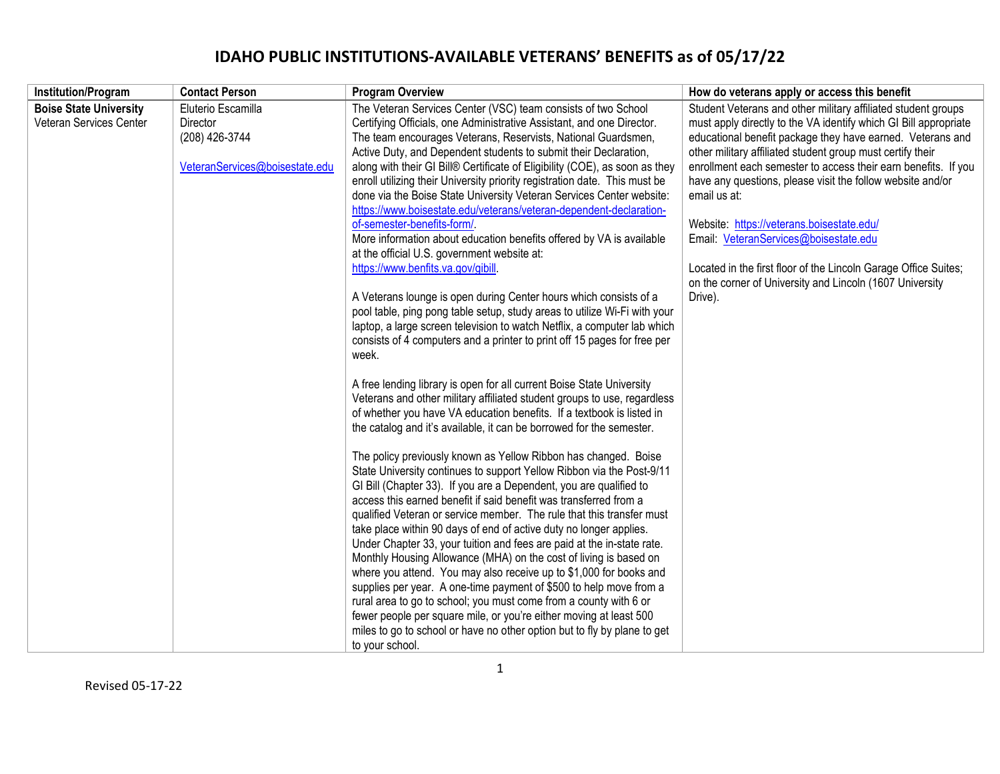| The Veteran Services Center (VSC) team consists of two School<br>Student Veterans and other military affiliated student groups<br><b>Boise State University</b><br>Eluterio Escamilla<br>Veteran Services Center<br>Certifying Officials, one Administrative Assistant, and one Director.<br>must apply directly to the VA identify which GI Bill appropriate<br>Director<br>(208) 426-3744<br>The team encourages Veterans, Reservists, National Guardsmen,<br>educational benefit package they have earned. Veterans and<br>Active Duty, and Dependent students to submit their Declaration,<br>other military affiliated student group must certify their<br>enrollment each semester to access their earn benefits. If you<br>VeteranServices@boisestate.edu<br>along with their GI Bill® Certificate of Eligibility (COE), as soon as they<br>enroll utilizing their University priority registration date. This must be<br>have any questions, please visit the follow website and/or<br>done via the Boise State University Veteran Services Center website:<br>email us at:<br>https://www.boisestate.edu/veterans/veteran-dependent-declaration-<br>of-semester-benefits-form/<br>Website: https://veterans.boisestate.edu/<br>Email: VeteranServices@boisestate.edu<br>More information about education benefits offered by VA is available<br>at the official U.S. government website at:<br>https://www.benfits.va.gov/gibill.<br>Located in the first floor of the Lincoln Garage Office Suites;<br>on the corner of University and Lincoln (1607 University<br>A Veterans lounge is open during Center hours which consists of a<br>Drive).<br>pool table, ping pong table setup, study areas to utilize Wi-Fi with your<br>laptop, a large screen television to watch Netflix, a computer lab which<br>consists of 4 computers and a printer to print off 15 pages for free per<br>week.<br>A free lending library is open for all current Boise State University<br>Veterans and other military affiliated student groups to use, regardless<br>of whether you have VA education benefits. If a textbook is listed in<br>the catalog and it's available, it can be borrowed for the semester.<br>The policy previously known as Yellow Ribbon has changed. Boise<br>State University continues to support Yellow Ribbon via the Post-9/11<br>GI Bill (Chapter 33). If you are a Dependent, you are qualified to<br>access this earned benefit if said benefit was transferred from a<br>qualified Veteran or service member. The rule that this transfer must<br>take place within 90 days of end of active duty no longer applies.<br>Under Chapter 33, your tuition and fees are paid at the in-state rate.<br>Monthly Housing Allowance (MHA) on the cost of living is based on<br>where you attend. You may also receive up to \$1,000 for books and<br>supplies per year. A one-time payment of \$500 to help move from a<br>rural area to go to school; you must come from a county with 6 or<br>fewer people per square mile, or you're either moving at least 500 | Institution/Program | <b>Contact Person</b> | <b>Program Overview</b>                                                  | How do veterans apply or access this benefit |
|-------------------------------------------------------------------------------------------------------------------------------------------------------------------------------------------------------------------------------------------------------------------------------------------------------------------------------------------------------------------------------------------------------------------------------------------------------------------------------------------------------------------------------------------------------------------------------------------------------------------------------------------------------------------------------------------------------------------------------------------------------------------------------------------------------------------------------------------------------------------------------------------------------------------------------------------------------------------------------------------------------------------------------------------------------------------------------------------------------------------------------------------------------------------------------------------------------------------------------------------------------------------------------------------------------------------------------------------------------------------------------------------------------------------------------------------------------------------------------------------------------------------------------------------------------------------------------------------------------------------------------------------------------------------------------------------------------------------------------------------------------------------------------------------------------------------------------------------------------------------------------------------------------------------------------------------------------------------------------------------------------------------------------------------------------------------------------------------------------------------------------------------------------------------------------------------------------------------------------------------------------------------------------------------------------------------------------------------------------------------------------------------------------------------------------------------------------------------------------------------------------------------------------------------------------------------------------------------------------------------------------------------------------------------------------------------------------------------------------------------------------------------------------------------------------------------------------------------------------------------------------------------------------------------------------------------------------------------------------------------------------------------------------------------------------------------------------------------|---------------------|-----------------------|--------------------------------------------------------------------------|----------------------------------------------|
|                                                                                                                                                                                                                                                                                                                                                                                                                                                                                                                                                                                                                                                                                                                                                                                                                                                                                                                                                                                                                                                                                                                                                                                                                                                                                                                                                                                                                                                                                                                                                                                                                                                                                                                                                                                                                                                                                                                                                                                                                                                                                                                                                                                                                                                                                                                                                                                                                                                                                                                                                                                                                                                                                                                                                                                                                                                                                                                                                                                                                                                                                           |                     |                       |                                                                          |                                              |
| to your school.                                                                                                                                                                                                                                                                                                                                                                                                                                                                                                                                                                                                                                                                                                                                                                                                                                                                                                                                                                                                                                                                                                                                                                                                                                                                                                                                                                                                                                                                                                                                                                                                                                                                                                                                                                                                                                                                                                                                                                                                                                                                                                                                                                                                                                                                                                                                                                                                                                                                                                                                                                                                                                                                                                                                                                                                                                                                                                                                                                                                                                                                           |                     |                       | miles to go to school or have no other option but to fly by plane to get |                                              |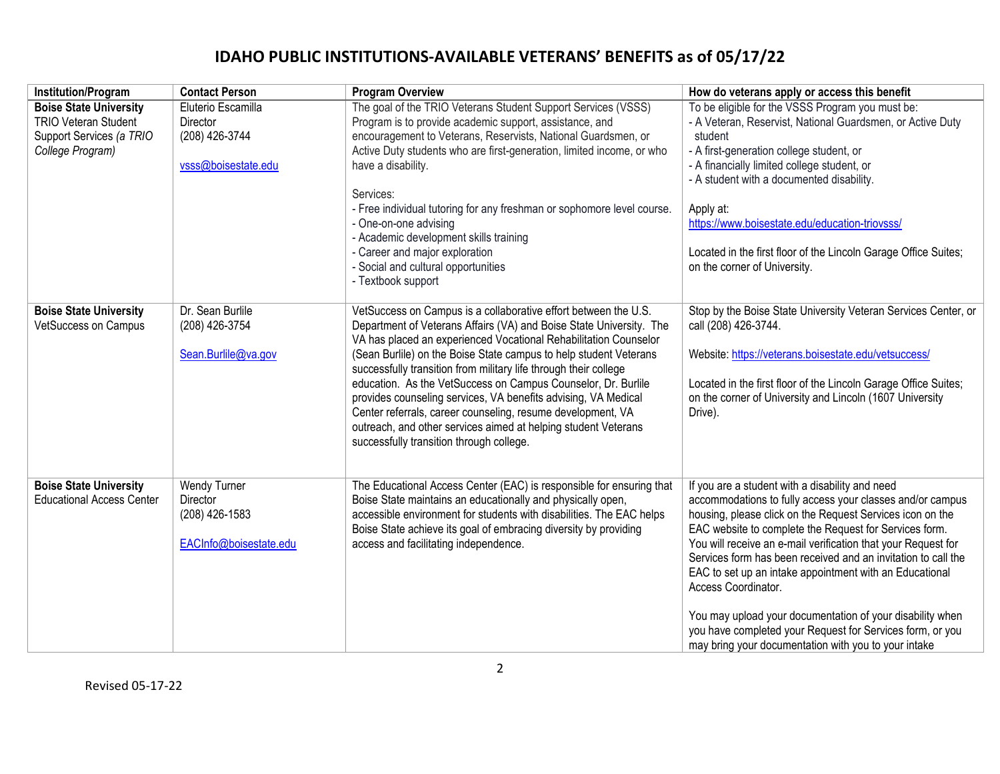| Institution/Program                                                                                          | <b>Contact Person</b>                                                       | <b>Program Overview</b>                                                                                                                                                                                                                                                                                                                                                                                                                                                                                                                                                                                                                                             | How do veterans apply or access this benefit                                                                                                                                                                                                                                                                                                                                                                                                                                                                                                                                                                                              |
|--------------------------------------------------------------------------------------------------------------|-----------------------------------------------------------------------------|---------------------------------------------------------------------------------------------------------------------------------------------------------------------------------------------------------------------------------------------------------------------------------------------------------------------------------------------------------------------------------------------------------------------------------------------------------------------------------------------------------------------------------------------------------------------------------------------------------------------------------------------------------------------|-------------------------------------------------------------------------------------------------------------------------------------------------------------------------------------------------------------------------------------------------------------------------------------------------------------------------------------------------------------------------------------------------------------------------------------------------------------------------------------------------------------------------------------------------------------------------------------------------------------------------------------------|
| <b>Boise State University</b><br><b>TRIO Veteran Student</b><br>Support Services (a TRIO<br>College Program) | Eluterio Escamilla<br>Director<br>(208) 426-3744<br>vsss@boisestate.edu     | The goal of the TRIO Veterans Student Support Services (VSSS)<br>Program is to provide academic support, assistance, and<br>encouragement to Veterans, Reservists, National Guardsmen, or<br>Active Duty students who are first-generation, limited income, or who<br>have a disability.<br>Services:<br>- Free individual tutoring for any freshman or sophomore level course.<br>- One-on-one advising<br>- Academic development skills training<br>- Career and major exploration<br>- Social and cultural opportunities<br>- Textbook support                                                                                                                   | To be eligible for the VSSS Program you must be:<br>- A Veteran, Reservist, National Guardsmen, or Active Duty<br>student<br>- A first-generation college student, or<br>- A financially limited college student, or<br>- A student with a documented disability.<br>Apply at:<br>https://www.boisestate.edu/education-triovsss/<br>Located in the first floor of the Lincoln Garage Office Suites;<br>on the corner of University.                                                                                                                                                                                                       |
| <b>Boise State University</b><br><b>VetSuccess on Campus</b>                                                 | Dr. Sean Burlile<br>(208) 426-3754<br>Sean.Burlile@va.gov                   | VetSuccess on Campus is a collaborative effort between the U.S.<br>Department of Veterans Affairs (VA) and Boise State University. The<br>VA has placed an experienced Vocational Rehabilitation Counselor<br>(Sean Burlile) on the Boise State campus to help student Veterans<br>successfully transition from military life through their college<br>education. As the VetSuccess on Campus Counselor, Dr. Burlile<br>provides counseling services, VA benefits advising, VA Medical<br>Center referrals, career counseling, resume development, VA<br>outreach, and other services aimed at helping student Veterans<br>successfully transition through college. | Stop by the Boise State University Veteran Services Center, or<br>call (208) 426-3744.<br>Website: https://veterans.boisestate.edu/vetsuccess/<br>Located in the first floor of the Lincoln Garage Office Suites;<br>on the corner of University and Lincoln (1607 University<br>Drive).                                                                                                                                                                                                                                                                                                                                                  |
| <b>Boise State University</b><br><b>Educational Access Center</b>                                            | <b>Wendy Turner</b><br>Director<br>(208) 426-1583<br>EACInfo@boisestate.edu | The Educational Access Center (EAC) is responsible for ensuring that<br>Boise State maintains an educationally and physically open,<br>accessible environment for students with disabilities. The EAC helps<br>Boise State achieve its goal of embracing diversity by providing<br>access and facilitating independence.                                                                                                                                                                                                                                                                                                                                            | If you are a student with a disability and need<br>accommodations to fully access your classes and/or campus<br>housing, please click on the Request Services icon on the<br>EAC website to complete the Request for Services form.<br>You will receive an e-mail verification that your Request for<br>Services form has been received and an invitation to call the<br>EAC to set up an intake appointment with an Educational<br>Access Coordinator.<br>You may upload your documentation of your disability when<br>you have completed your Request for Services form, or you<br>may bring your documentation with you to your intake |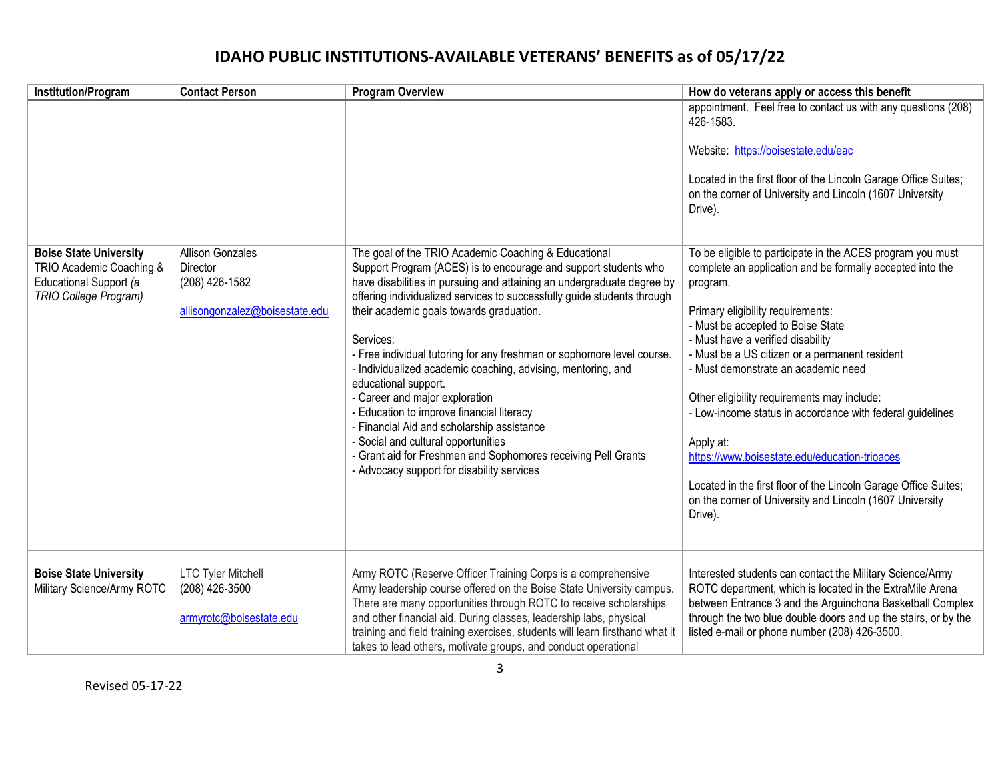| <b>Institution/Program</b>                                                                                   | <b>Contact Person</b>                                                                   | <b>Program Overview</b>                                                                                                                                                                                                                                                                                                                                                                                                                                                                                                                                                                                                                                                                                                                                                                    | How do veterans apply or access this benefit                                                                                                                                                                                                                                                                                                                                                                                                                                                                                                                                                                                                                    |
|--------------------------------------------------------------------------------------------------------------|-----------------------------------------------------------------------------------------|--------------------------------------------------------------------------------------------------------------------------------------------------------------------------------------------------------------------------------------------------------------------------------------------------------------------------------------------------------------------------------------------------------------------------------------------------------------------------------------------------------------------------------------------------------------------------------------------------------------------------------------------------------------------------------------------------------------------------------------------------------------------------------------------|-----------------------------------------------------------------------------------------------------------------------------------------------------------------------------------------------------------------------------------------------------------------------------------------------------------------------------------------------------------------------------------------------------------------------------------------------------------------------------------------------------------------------------------------------------------------------------------------------------------------------------------------------------------------|
|                                                                                                              |                                                                                         |                                                                                                                                                                                                                                                                                                                                                                                                                                                                                                                                                                                                                                                                                                                                                                                            | appointment. Feel free to contact us with any questions (208)<br>426-1583.<br>Website: https://boisestate.edu/eac<br>Located in the first floor of the Lincoln Garage Office Suites;<br>on the corner of University and Lincoln (1607 University<br>Drive).                                                                                                                                                                                                                                                                                                                                                                                                     |
| <b>Boise State University</b><br>TRIO Academic Coaching &<br>Educational Support (a<br>TRIO College Program) | <b>Allison Gonzales</b><br>Director<br>(208) 426-1582<br>allisongonzalez@boisestate.edu | The goal of the TRIO Academic Coaching & Educational<br>Support Program (ACES) is to encourage and support students who<br>have disabilities in pursuing and attaining an undergraduate degree by<br>offering individualized services to successfully guide students through<br>their academic goals towards graduation.<br>Services:<br>- Free individual tutoring for any freshman or sophomore level course.<br>- Individualized academic coaching, advising, mentoring, and<br>educational support.<br>- Career and major exploration<br>- Education to improve financial literacy<br>- Financial Aid and scholarship assistance<br>- Social and cultural opportunities<br>- Grant aid for Freshmen and Sophomores receiving Pell Grants<br>- Advocacy support for disability services | To be eligible to participate in the ACES program you must<br>complete an application and be formally accepted into the<br>program.<br>Primary eligibility requirements:<br>- Must be accepted to Boise State<br>- Must have a verified disability<br>- Must be a US citizen or a permanent resident<br>- Must demonstrate an academic need<br>Other eligibility requirements may include:<br>- Low-income status in accordance with federal guidelines<br>Apply at:<br>https://www.boisestate.edu/education-trioaces<br>Located in the first floor of the Lincoln Garage Office Suites;<br>on the corner of University and Lincoln (1607 University<br>Drive). |
|                                                                                                              |                                                                                         |                                                                                                                                                                                                                                                                                                                                                                                                                                                                                                                                                                                                                                                                                                                                                                                            |                                                                                                                                                                                                                                                                                                                                                                                                                                                                                                                                                                                                                                                                 |
| <b>Boise State University</b><br>Military Science/Army ROTC                                                  | <b>LTC Tyler Mitchell</b><br>(208) 426-3500<br>armyrotc@boisestate.edu                  | Army ROTC (Reserve Officer Training Corps is a comprehensive<br>Army leadership course offered on the Boise State University campus.<br>There are many opportunities through ROTC to receive scholarships<br>and other financial aid. During classes, leadership labs, physical<br>training and field training exercises, students will learn firsthand what it                                                                                                                                                                                                                                                                                                                                                                                                                            | Interested students can contact the Military Science/Army<br>ROTC department, which is located in the ExtraMile Arena<br>between Entrance 3 and the Arguinchona Basketball Complex<br>through the two blue double doors and up the stairs, or by the<br>listed e-mail or phone number (208) 426-3500.                                                                                                                                                                                                                                                                                                                                                           |
|                                                                                                              |                                                                                         | takes to lead others, motivate groups, and conduct operational                                                                                                                                                                                                                                                                                                                                                                                                                                                                                                                                                                                                                                                                                                                             |                                                                                                                                                                                                                                                                                                                                                                                                                                                                                                                                                                                                                                                                 |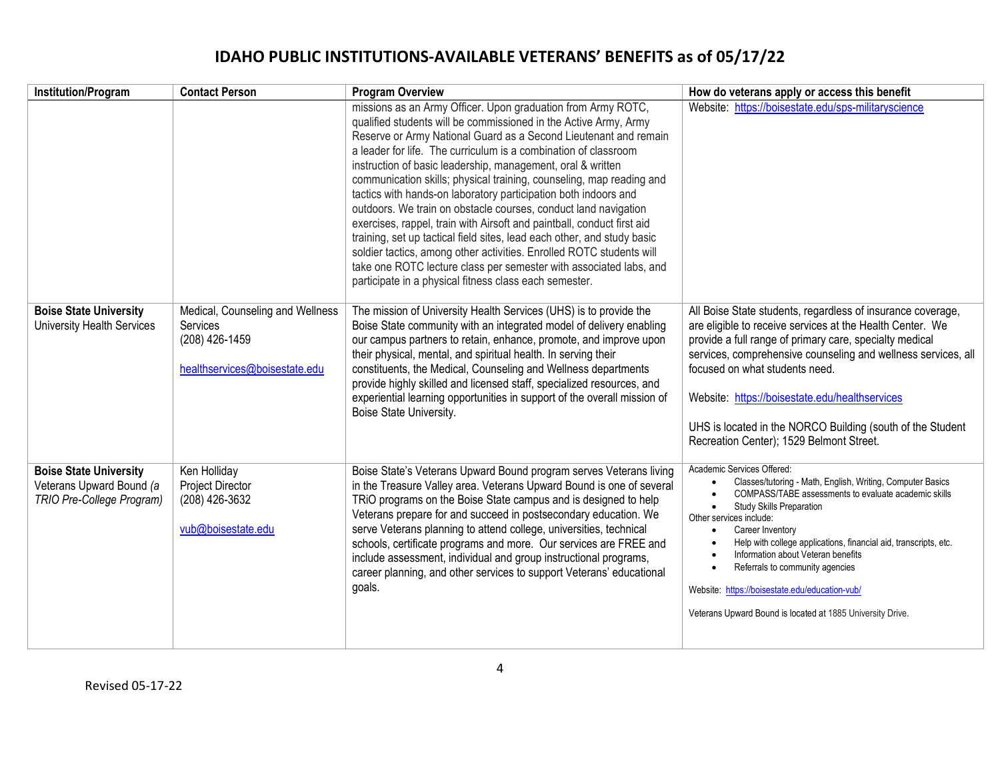| <b>Institution/Program</b>                                                             | <b>Contact Person</b>                                                                           | <b>Program Overview</b>                                                                                                                                                                                                                                                                                                                                                                                                                                                                                                                                                                                                                                                                                                                                                                                                                                                                                           | How do veterans apply or access this benefit                                                                                                                                                                                                                                                                                                                                                                                                                                                    |
|----------------------------------------------------------------------------------------|-------------------------------------------------------------------------------------------------|-------------------------------------------------------------------------------------------------------------------------------------------------------------------------------------------------------------------------------------------------------------------------------------------------------------------------------------------------------------------------------------------------------------------------------------------------------------------------------------------------------------------------------------------------------------------------------------------------------------------------------------------------------------------------------------------------------------------------------------------------------------------------------------------------------------------------------------------------------------------------------------------------------------------|-------------------------------------------------------------------------------------------------------------------------------------------------------------------------------------------------------------------------------------------------------------------------------------------------------------------------------------------------------------------------------------------------------------------------------------------------------------------------------------------------|
|                                                                                        |                                                                                                 | missions as an Army Officer. Upon graduation from Army ROTC,<br>qualified students will be commissioned in the Active Army, Army<br>Reserve or Army National Guard as a Second Lieutenant and remain<br>a leader for life. The curriculum is a combination of classroom<br>instruction of basic leadership, management, oral & written<br>communication skills; physical training, counseling, map reading and<br>tactics with hands-on laboratory participation both indoors and<br>outdoors. We train on obstacle courses, conduct land navigation<br>exercises, rappel, train with Airsoft and paintball, conduct first aid<br>training, set up tactical field sites, lead each other, and study basic<br>soldier tactics, among other activities. Enrolled ROTC students will<br>take one ROTC lecture class per semester with associated labs, and<br>participate in a physical fitness class each semester. | Website: https://boisestate.edu/sps-militaryscience                                                                                                                                                                                                                                                                                                                                                                                                                                             |
| <b>Boise State University</b><br><b>University Health Services</b>                     | Medical, Counseling and Wellness<br>Services<br>(208) 426-1459<br>healthservices@boisestate.edu | The mission of University Health Services (UHS) is to provide the<br>Boise State community with an integrated model of delivery enabling<br>our campus partners to retain, enhance, promote, and improve upon<br>their physical, mental, and spiritual health. In serving their<br>constituents, the Medical, Counseling and Wellness departments<br>provide highly skilled and licensed staff, specialized resources, and<br>experiential learning opportunities in support of the overall mission of<br>Boise State University.                                                                                                                                                                                                                                                                                                                                                                                 | All Boise State students, regardless of insurance coverage,<br>are eligible to receive services at the Health Center. We<br>provide a full range of primary care, specialty medical<br>services, comprehensive counseling and wellness services, all<br>focused on what students need.<br>Website: https://boisestate.edu/healthservices<br>UHS is located in the NORCO Building (south of the Student<br>Recreation Center); 1529 Belmont Street.                                              |
| <b>Boise State University</b><br>Veterans Upward Bound (a<br>TRIO Pre-College Program) | Ken Holliday<br><b>Project Director</b><br>(208) 426-3632<br>vub@boisestate.edu                 | Boise State's Veterans Upward Bound program serves Veterans living<br>in the Treasure Valley area. Veterans Upward Bound is one of several<br>TRiO programs on the Boise State campus and is designed to help<br>Veterans prepare for and succeed in postsecondary education. We<br>serve Veterans planning to attend college, universities, technical<br>schools, certificate programs and more. Our services are FREE and<br>include assessment, individual and group instructional programs,<br>career planning, and other services to support Veterans' educational<br>goals.                                                                                                                                                                                                                                                                                                                                 | Academic Services Offered:<br>Classes/tutoring - Math, English, Writing, Computer Basics<br>COMPASS/TABE assessments to evaluate academic skills<br><b>Study Skills Preparation</b><br>Other services include:<br>Career Inventory<br>Help with college applications, financial aid, transcripts, etc.<br>Information about Veteran benefits<br>Referrals to community agencies<br>Website: https://boisestate.edu/education-vub/<br>Veterans Upward Bound is located at 1885 University Drive. |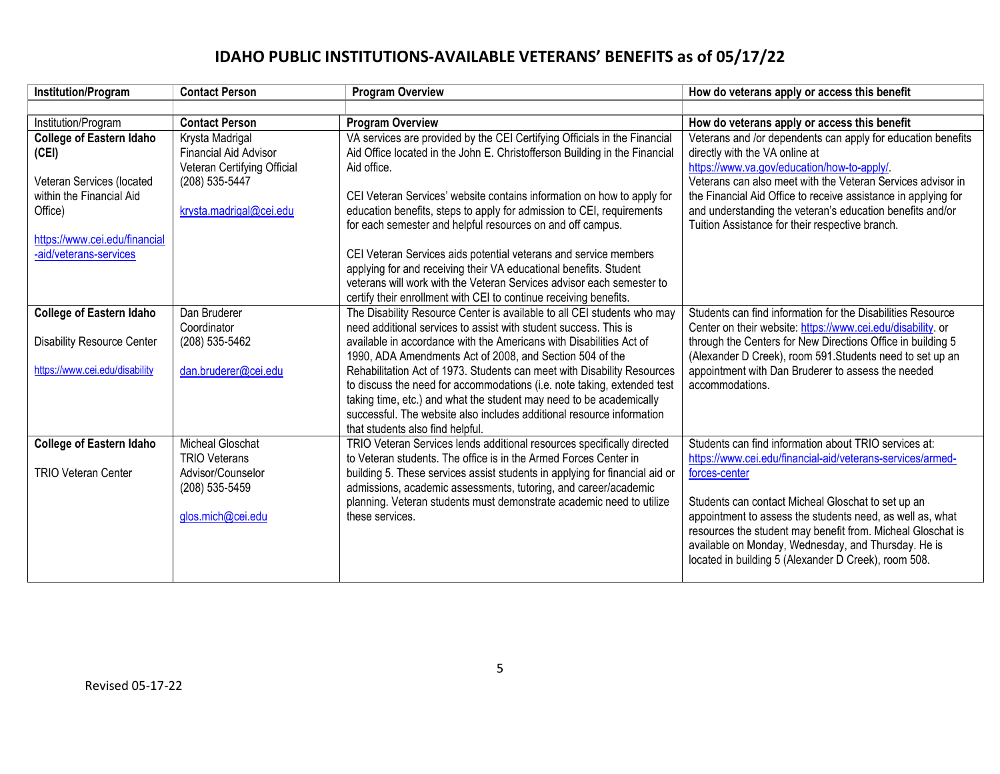| <b>Institution/Program</b>               | <b>Contact Person</b>                                                          | <b>Program Overview</b>                                                                                                                                                | How do veterans apply or access this benefit                                                                                                  |
|------------------------------------------|--------------------------------------------------------------------------------|------------------------------------------------------------------------------------------------------------------------------------------------------------------------|-----------------------------------------------------------------------------------------------------------------------------------------------|
|                                          |                                                                                |                                                                                                                                                                        |                                                                                                                                               |
| Institution/Program                      | <b>Contact Person</b>                                                          | <b>Program Overview</b>                                                                                                                                                | How do veterans apply or access this benefit                                                                                                  |
| <b>College of Eastern Idaho</b><br>(CEI) | Krysta Madrigal<br><b>Financial Aid Advisor</b><br>Veteran Certifying Official | VA services are provided by the CEI Certifying Officials in the Financial<br>Aid Office located in the John E. Christofferson Building in the Financial<br>Aid office. | Veterans and /or dependents can apply for education benefits<br>directly with the VA online at<br>https://www.va.gov/education/how-to-apply/. |
| Veteran Services (located                | (208) 535-5447                                                                 |                                                                                                                                                                        | Veterans can also meet with the Veteran Services advisor in                                                                                   |
| within the Financial Aid                 |                                                                                | CEI Veteran Services' website contains information on how to apply for                                                                                                 | the Financial Aid Office to receive assistance in applying for                                                                                |
| Office)                                  | krysta.madrigal@cei.edu                                                        | education benefits, steps to apply for admission to CEI, requirements<br>for each semester and helpful resources on and off campus.                                    | and understanding the veteran's education benefits and/or<br>Tuition Assistance for their respective branch.                                  |
| https://www.cei.edu/financial            |                                                                                |                                                                                                                                                                        |                                                                                                                                               |
| -aid/veterans-services                   |                                                                                | CEI Veteran Services aids potential veterans and service members<br>applying for and receiving their VA educational benefits. Student                                  |                                                                                                                                               |
|                                          |                                                                                | veterans will work with the Veteran Services advisor each semester to                                                                                                  |                                                                                                                                               |
|                                          |                                                                                | certify their enrollment with CEI to continue receiving benefits.                                                                                                      |                                                                                                                                               |
| <b>College of Eastern Idaho</b>          | Dan Bruderer                                                                   | The Disability Resource Center is available to all CEI students who may                                                                                                | Students can find information for the Disabilities Resource                                                                                   |
|                                          | Coordinator                                                                    | need additional services to assist with student success. This is                                                                                                       | Center on their website: https://www.cei.edu/disability. or                                                                                   |
| <b>Disability Resource Center</b>        | (208) 535-5462                                                                 | available in accordance with the Americans with Disabilities Act of<br>1990, ADA Amendments Act of 2008, and Section 504 of the                                        | through the Centers for New Directions Office in building 5<br>(Alexander D Creek), room 591. Students need to set up an                      |
| https://www.cei.edu/disability           | dan.bruderer@cei.edu                                                           | Rehabilitation Act of 1973. Students can meet with Disability Resources                                                                                                | appointment with Dan Bruderer to assess the needed                                                                                            |
|                                          |                                                                                | to discuss the need for accommodations (i.e. note taking, extended test                                                                                                | accommodations.                                                                                                                               |
|                                          |                                                                                | taking time, etc.) and what the student may need to be academically                                                                                                    |                                                                                                                                               |
|                                          |                                                                                | successful. The website also includes additional resource information                                                                                                  |                                                                                                                                               |
| <b>College of Eastern Idaho</b>          | Micheal Gloschat                                                               | that students also find helpful.<br>TRIO Veteran Services lends additional resources specifically directed                                                             | Students can find information about TRIO services at:                                                                                         |
|                                          | <b>TRIO Veterans</b>                                                           | to Veteran students. The office is in the Armed Forces Center in                                                                                                       | https://www.cei.edu/financial-aid/veterans-services/armed-                                                                                    |
| <b>TRIO Veteran Center</b>               | Advisor/Counselor                                                              | building 5. These services assist students in applying for financial aid or                                                                                            | forces-center                                                                                                                                 |
|                                          | (208) 535-5459                                                                 | admissions, academic assessments, tutoring, and career/academic                                                                                                        |                                                                                                                                               |
|                                          |                                                                                | planning. Veteran students must demonstrate academic need to utilize                                                                                                   | Students can contact Micheal Gloschat to set up an                                                                                            |
|                                          | glos.mich@cei.edu                                                              | these services.                                                                                                                                                        | appointment to assess the students need, as well as, what                                                                                     |
|                                          |                                                                                |                                                                                                                                                                        | resources the student may benefit from. Micheal Gloschat is<br>available on Monday, Wednesday, and Thursday. He is                            |
|                                          |                                                                                |                                                                                                                                                                        | located in building 5 (Alexander D Creek), room 508.                                                                                          |
|                                          |                                                                                |                                                                                                                                                                        |                                                                                                                                               |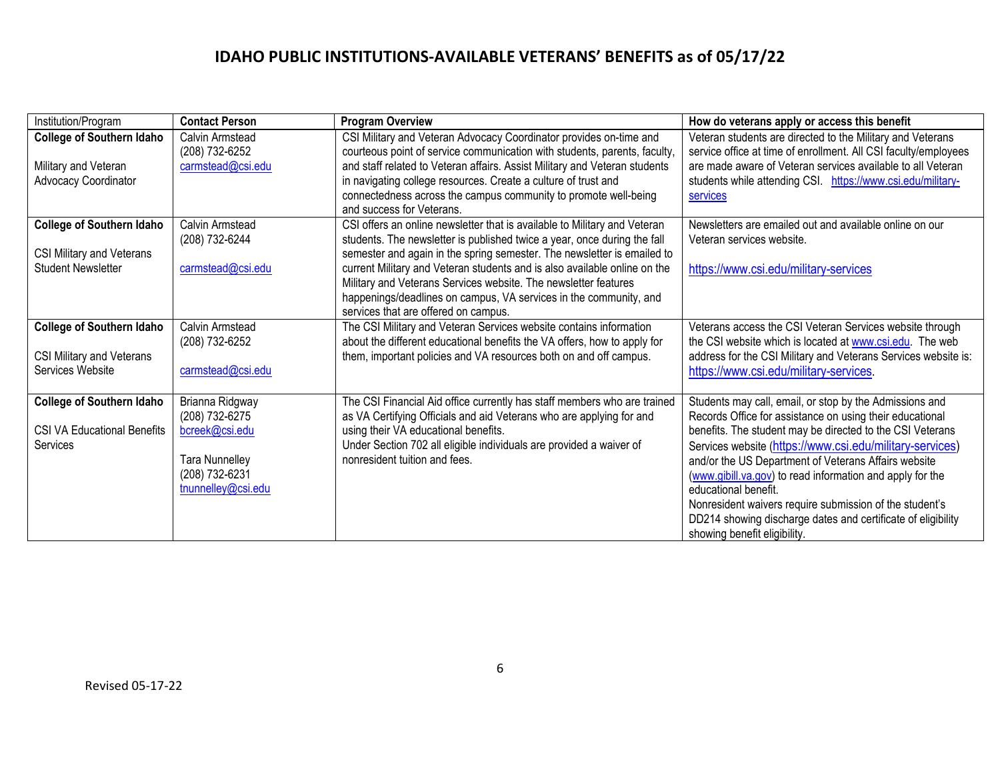| Institution/Program                                                                | <b>Contact Person</b>                                                                                                | <b>Program Overview</b>                                                                                                                                                                                                                                                                          | How do veterans apply or access this benefit                                                                                                                                                                                                                                                                                                                                                                                                                                                                                                         |
|------------------------------------------------------------------------------------|----------------------------------------------------------------------------------------------------------------------|--------------------------------------------------------------------------------------------------------------------------------------------------------------------------------------------------------------------------------------------------------------------------------------------------|------------------------------------------------------------------------------------------------------------------------------------------------------------------------------------------------------------------------------------------------------------------------------------------------------------------------------------------------------------------------------------------------------------------------------------------------------------------------------------------------------------------------------------------------------|
| <b>College of Southern Idaho</b><br>Military and Veteran                           | Calvin Armstead<br>(208) 732-6252<br>carmstead@csi.edu                                                               | CSI Military and Veteran Advocacy Coordinator provides on-time and<br>courteous point of service communication with students, parents, faculty,<br>and staff related to Veteran affairs. Assist Military and Veteran students                                                                    | Veteran students are directed to the Military and Veterans<br>service office at time of enrollment. All CSI faculty/employees<br>are made aware of Veteran services available to all Veteran                                                                                                                                                                                                                                                                                                                                                         |
| <b>Advocacy Coordinator</b>                                                        |                                                                                                                      | in navigating college resources. Create a culture of trust and<br>connectedness across the campus community to promote well-being<br>and success for Veterans.                                                                                                                                   | students while attending CSI. https://www.csi.edu/military-<br>services                                                                                                                                                                                                                                                                                                                                                                                                                                                                              |
| <b>College of Southern Idaho</b><br>CSI Military and Veterans                      | Calvin Armstead<br>(208) 732-6244                                                                                    | CSI offers an online newsletter that is available to Military and Veteran<br>students. The newsletter is published twice a year, once during the fall<br>semester and again in the spring semester. The newsletter is emailed to                                                                 | Newsletters are emailed out and available online on our<br>Veteran services website.                                                                                                                                                                                                                                                                                                                                                                                                                                                                 |
| <b>Student Newsletter</b>                                                          | carmstead@csi.edu                                                                                                    | current Military and Veteran students and is also available online on the<br>Military and Veterans Services website. The newsletter features<br>happenings/deadlines on campus, VA services in the community, and<br>services that are offered on campus.                                        | https://www.csi.edu/military-services                                                                                                                                                                                                                                                                                                                                                                                                                                                                                                                |
| <b>College of Southern Idaho</b><br>CSI Military and Veterans<br>Services Website  | Calvin Armstead<br>(208) 732-6252<br>carmstead@csi.edu                                                               | The CSI Military and Veteran Services website contains information<br>about the different educational benefits the VA offers, how to apply for<br>them, important policies and VA resources both on and off campus.                                                                              | Veterans access the CSI Veteran Services website through<br>the CSI website which is located at www.csi.edu. The web<br>address for the CSI Military and Veterans Services website is:<br>https://www.csi.edu/military-services.                                                                                                                                                                                                                                                                                                                     |
| <b>College of Southern Idaho</b><br><b>CSI VA Educational Benefits</b><br>Services | Brianna Ridgway<br>(208) 732-6275<br>bcreek@csi.edu<br><b>Tara Nunnelley</b><br>(208) 732-6231<br>tnunnelley@csi.edu | The CSI Financial Aid office currently has staff members who are trained<br>as VA Certifying Officials and aid Veterans who are applying for and<br>using their VA educational benefits.<br>Under Section 702 all eligible individuals are provided a waiver of<br>nonresident tuition and fees. | Students may call, email, or stop by the Admissions and<br>Records Office for assistance on using their educational<br>benefits. The student may be directed to the CSI Veterans<br>Services website (https://www.csi.edu/military-services)<br>and/or the US Department of Veterans Affairs website<br>(www.gibill.va.gov) to read information and apply for the<br>educational benefit.<br>Nonresident waivers require submission of the student's<br>DD214 showing discharge dates and certificate of eligibility<br>showing benefit eligibility. |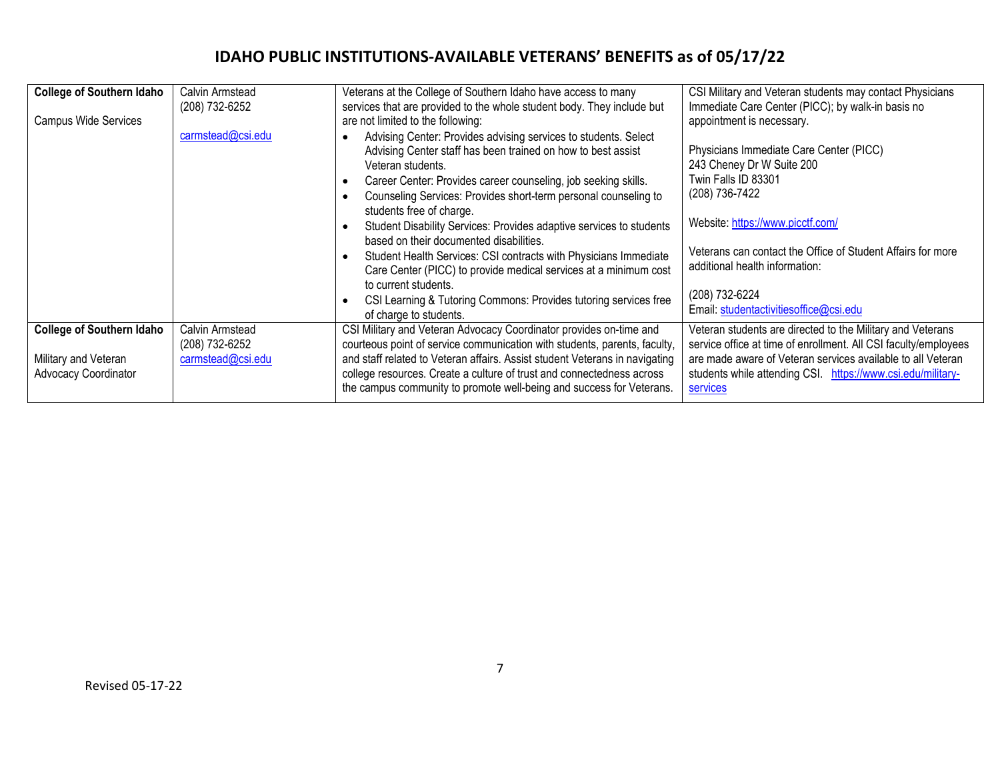| <b>College of Southern Idaho</b>                                                        | Calvin Armstead<br>(208) 732-6252                      | Veterans at the College of Southern Idaho have access to many<br>services that are provided to the whole student body. They include but                                                                                                                                                                                                                                                                                                                                                                                                                                                                 | CSI Military and Veteran students may contact Physicians<br>Immediate Care Center (PICC); by walk-in basis no                                                                                                                                                           |
|-----------------------------------------------------------------------------------------|--------------------------------------------------------|---------------------------------------------------------------------------------------------------------------------------------------------------------------------------------------------------------------------------------------------------------------------------------------------------------------------------------------------------------------------------------------------------------------------------------------------------------------------------------------------------------------------------------------------------------------------------------------------------------|-------------------------------------------------------------------------------------------------------------------------------------------------------------------------------------------------------------------------------------------------------------------------|
| <b>Campus Wide Services</b>                                                             |                                                        | are not limited to the following:                                                                                                                                                                                                                                                                                                                                                                                                                                                                                                                                                                       | appointment is necessary.                                                                                                                                                                                                                                               |
|                                                                                         | carmstead@csi.edu                                      | Advising Center: Provides advising services to students. Select<br>Advising Center staff has been trained on how to best assist<br>Veteran students.<br>Career Center: Provides career counseling, job seeking skills.<br>Counseling Services: Provides short-term personal counseling to<br>students free of charge.<br>Student Disability Services: Provides adaptive services to students<br>based on their documented disabilities.<br>Student Health Services: CSI contracts with Physicians Immediate<br>Care Center (PICC) to provide medical services at a minimum cost<br>to current students. | Physicians Immediate Care Center (PICC)<br>243 Cheney Dr W Suite 200<br>Twin Falls ID 83301<br>(208) 736-7422<br>Website: https://www.picctf.com/<br>Veterans can contact the Office of Student Affairs for more<br>additional health information:                      |
|                                                                                         |                                                        | CSI Learning & Tutoring Commons: Provides tutoring services free<br>of charge to students.                                                                                                                                                                                                                                                                                                                                                                                                                                                                                                              | (208) 732-6224<br>Email: studentactivitiesoffice@csi.edu                                                                                                                                                                                                                |
| <b>College of Southern Idaho</b><br>Military and Veteran<br><b>Advocacy Coordinator</b> | Calvin Armstead<br>(208) 732-6252<br>carmstead@csi.edu | CSI Military and Veteran Advocacy Coordinator provides on-time and<br>courteous point of service communication with students, parents, faculty,<br>and staff related to Veteran affairs. Assist student Veterans in navigating<br>college resources. Create a culture of trust and connectedness across<br>the campus community to promote well-being and success for Veterans.                                                                                                                                                                                                                         | Veteran students are directed to the Military and Veterans<br>service office at time of enrollment. All CSI faculty/employees<br>are made aware of Veteran services available to all Veteran<br>students while attending CSI. https://www.csi.edu/military-<br>services |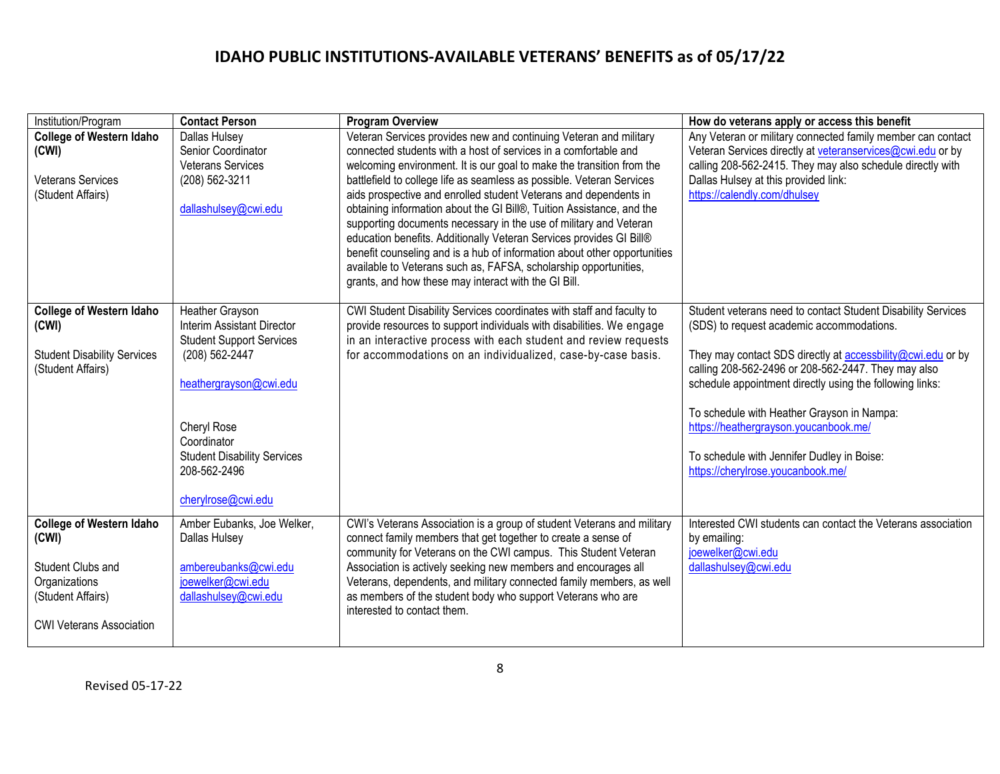| Institution/Program                                                                                                                    | <b>Contact Person</b>                                                                                                                                                                                                                  | <b>Program Overview</b>                                                                                                                                                                                                                                                                                                                                                                                                                                                                                                                                                                                                                                                                                                                                                                 | How do veterans apply or access this benefit                                                                                                                                                                                                                                                                                                                                                                                                                          |
|----------------------------------------------------------------------------------------------------------------------------------------|----------------------------------------------------------------------------------------------------------------------------------------------------------------------------------------------------------------------------------------|-----------------------------------------------------------------------------------------------------------------------------------------------------------------------------------------------------------------------------------------------------------------------------------------------------------------------------------------------------------------------------------------------------------------------------------------------------------------------------------------------------------------------------------------------------------------------------------------------------------------------------------------------------------------------------------------------------------------------------------------------------------------------------------------|-----------------------------------------------------------------------------------------------------------------------------------------------------------------------------------------------------------------------------------------------------------------------------------------------------------------------------------------------------------------------------------------------------------------------------------------------------------------------|
| <b>College of Western Idaho</b><br>(CWI)<br><b>Veterans Services</b><br>(Student Affairs)                                              | Dallas Hulsey<br>Senior Coordinator<br><b>Veterans Services</b><br>(208) 562-3211<br>dallashulsey@cwi.edu                                                                                                                              | Veteran Services provides new and continuing Veteran and military<br>connected students with a host of services in a comfortable and<br>welcoming environment. It is our goal to make the transition from the<br>battlefield to college life as seamless as possible. Veteran Services<br>aids prospective and enrolled student Veterans and dependents in<br>obtaining information about the GI Bill®, Tuition Assistance, and the<br>supporting documents necessary in the use of military and Veteran<br>education benefits. Additionally Veteran Services provides GI Bill®<br>benefit counseling and is a hub of information about other opportunities<br>available to Veterans such as, FAFSA, scholarship opportunities,<br>grants, and how these may interact with the GI Bill. | Any Veteran or military connected family member can contact<br>Veteran Services directly at veteranservices@cwi.edu or by<br>calling 208-562-2415. They may also schedule directly with<br>Dallas Hulsey at this provided link:<br>https://calendly.com/dhulsey                                                                                                                                                                                                       |
| <b>College of Western Idaho</b><br>(CWI)<br><b>Student Disability Services</b><br>(Student Affairs)                                    | Heather Grayson<br>Interim Assistant Director<br><b>Student Support Services</b><br>(208) 562-2447<br>heathergrayson@cwi.edu<br>Cheryl Rose<br>Coordinator<br><b>Student Disability Services</b><br>208-562-2496<br>cherylrose@cwi.edu | CWI Student Disability Services coordinates with staff and faculty to<br>provide resources to support individuals with disabilities. We engage<br>in an interactive process with each student and review requests<br>for accommodations on an individualized, case-by-case basis.                                                                                                                                                                                                                                                                                                                                                                                                                                                                                                       | Student veterans need to contact Student Disability Services<br>(SDS) to request academic accommodations.<br>They may contact SDS directly at accessbility@cwi.edu or by<br>calling 208-562-2496 or 208-562-2447. They may also<br>schedule appointment directly using the following links:<br>To schedule with Heather Grayson in Nampa:<br>https://heathergrayson.youcanbook.me/<br>To schedule with Jennifer Dudley in Boise:<br>https://cherylrose.youcanbook.me/ |
| <b>College of Western Idaho</b><br>(CWI)<br>Student Clubs and<br>Organizations<br>(Student Affairs)<br><b>CWI Veterans Association</b> | Amber Eubanks, Joe Welker,<br>Dallas Hulsey<br>ambereubanks@cwi.edu<br>joewelker@cwi.edu<br>dallashulsey@cwi.edu                                                                                                                       | CWI's Veterans Association is a group of student Veterans and military<br>connect family members that get together to create a sense of<br>community for Veterans on the CWI campus. This Student Veteran<br>Association is actively seeking new members and encourages all<br>Veterans, dependents, and military connected family members, as well<br>as members of the student body who support Veterans who are<br>interested to contact them.                                                                                                                                                                                                                                                                                                                                       | Interested CWI students can contact the Veterans association<br>by emailing:<br>joewelker@cwi.edu<br>dallashulsey@cwi.edu                                                                                                                                                                                                                                                                                                                                             |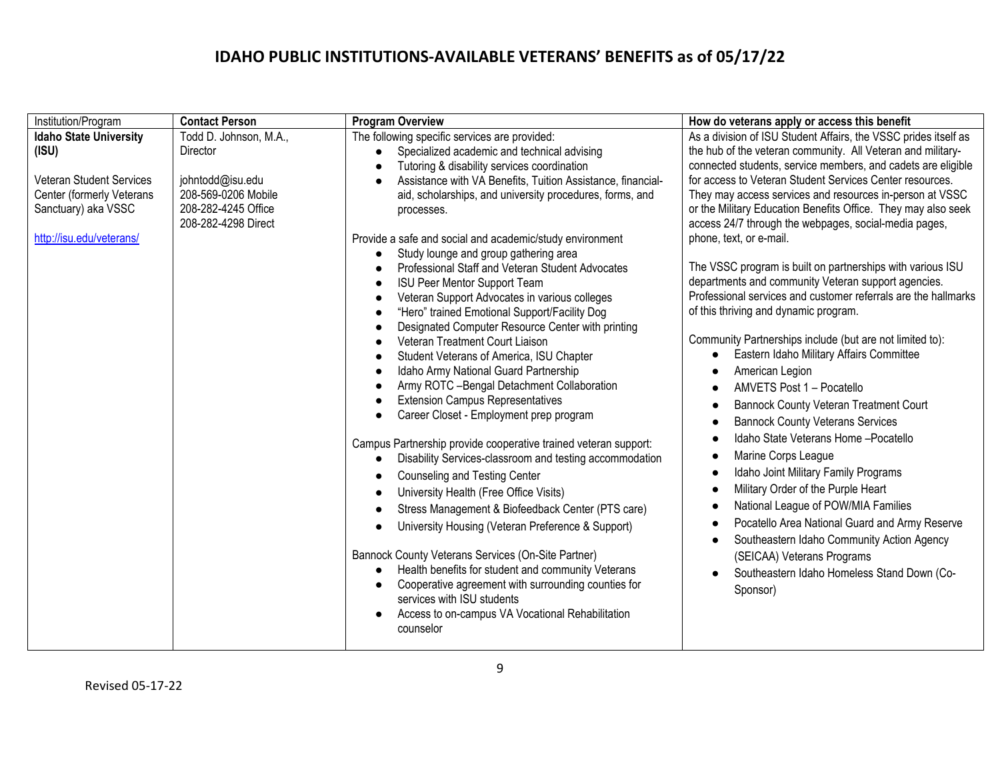| Institution/Program                                                                                                                                | <b>Contact Person</b>                                                                                                       | <b>Program Overview</b>                                                                                                                                                                                                                                                                                                                                                                                                                                                                                                                                                                                                                                                                                                                                                                                                                                                                                                                                                                                                                                                                                                                                                                                                                                                                                                                                                                                                                                                                                                                                                                              | How do veterans apply or access this benefit                                                                                                                                                                                                                                                                                                                                                                                                                                                                                                                                                                                                                                                                                                                                                                                                                                                                                                                                                                                                                                                                                                                                                                                                                                                                                                        |
|----------------------------------------------------------------------------------------------------------------------------------------------------|-----------------------------------------------------------------------------------------------------------------------------|------------------------------------------------------------------------------------------------------------------------------------------------------------------------------------------------------------------------------------------------------------------------------------------------------------------------------------------------------------------------------------------------------------------------------------------------------------------------------------------------------------------------------------------------------------------------------------------------------------------------------------------------------------------------------------------------------------------------------------------------------------------------------------------------------------------------------------------------------------------------------------------------------------------------------------------------------------------------------------------------------------------------------------------------------------------------------------------------------------------------------------------------------------------------------------------------------------------------------------------------------------------------------------------------------------------------------------------------------------------------------------------------------------------------------------------------------------------------------------------------------------------------------------------------------------------------------------------------------|-----------------------------------------------------------------------------------------------------------------------------------------------------------------------------------------------------------------------------------------------------------------------------------------------------------------------------------------------------------------------------------------------------------------------------------------------------------------------------------------------------------------------------------------------------------------------------------------------------------------------------------------------------------------------------------------------------------------------------------------------------------------------------------------------------------------------------------------------------------------------------------------------------------------------------------------------------------------------------------------------------------------------------------------------------------------------------------------------------------------------------------------------------------------------------------------------------------------------------------------------------------------------------------------------------------------------------------------------------|
| <b>Idaho State University</b><br>(ISU)<br>Veteran Student Services<br>Center (formerly Veterans<br>Sanctuary) aka VSSC<br>http://isu.edu/veterans/ | Todd D. Johnson, M.A.,<br>Director<br>johntodd@isu.edu<br>208-569-0206 Mobile<br>208-282-4245 Office<br>208-282-4298 Direct | The following specific services are provided:<br>Specialized academic and technical advising<br>$\bullet$<br>Tutoring & disability services coordination<br>Assistance with VA Benefits, Tuition Assistance, financial-<br>aid, scholarships, and university procedures, forms, and<br>processes.<br>Provide a safe and social and academic/study environment<br>Study lounge and group gathering area<br>$\bullet$<br>Professional Staff and Veteran Student Advocates<br>ISU Peer Mentor Support Team<br>Veteran Support Advocates in various colleges<br>"Hero" trained Emotional Support/Facility Dog<br>Designated Computer Resource Center with printing<br>Veteran Treatment Court Liaison<br>Student Veterans of America, ISU Chapter<br>$\bullet$<br>Idaho Army National Guard Partnership<br>Army ROTC -Bengal Detachment Collaboration<br><b>Extension Campus Representatives</b><br>Career Closet - Employment prep program<br>Campus Partnership provide cooperative trained veteran support:<br>Disability Services-classroom and testing accommodation<br><b>Counseling and Testing Center</b><br>$\bullet$<br>University Health (Free Office Visits)<br>Stress Management & Biofeedback Center (PTS care)<br>University Housing (Veteran Preference & Support)<br>$\bullet$<br>Bannock County Veterans Services (On-Site Partner)<br>Health benefits for student and community Veterans<br>$\bullet$<br>Cooperative agreement with surrounding counties for<br>$\bullet$<br>services with ISU students<br>Access to on-campus VA Vocational Rehabilitation<br>$\bullet$<br>counselor | As a division of ISU Student Affairs, the VSSC prides itself as<br>the hub of the veteran community. All Veteran and military-<br>connected students, service members, and cadets are eligible<br>for access to Veteran Student Services Center resources.<br>They may access services and resources in-person at VSSC<br>or the Military Education Benefits Office. They may also seek<br>access 24/7 through the webpages, social-media pages,<br>phone, text, or e-mail.<br>The VSSC program is built on partnerships with various ISU<br>departments and community Veteran support agencies.<br>Professional services and customer referrals are the hallmarks<br>of this thriving and dynamic program.<br>Community Partnerships include (but are not limited to):<br>Eastern Idaho Military Affairs Committee<br>$\bullet$<br>American Legion<br>AMVETS Post 1 - Pocatello<br>Bannock County Veteran Treatment Court<br><b>Bannock County Veterans Services</b><br>Idaho State Veterans Home - Pocatello<br>Marine Corps League<br>Idaho Joint Military Family Programs<br>Military Order of the Purple Heart<br>National League of POW/MIA Families<br>Pocatello Area National Guard and Army Reserve<br>Southeastern Idaho Community Action Agency<br>(SEICAA) Veterans Programs<br>Southeastern Idaho Homeless Stand Down (Co-<br>Sponsor) |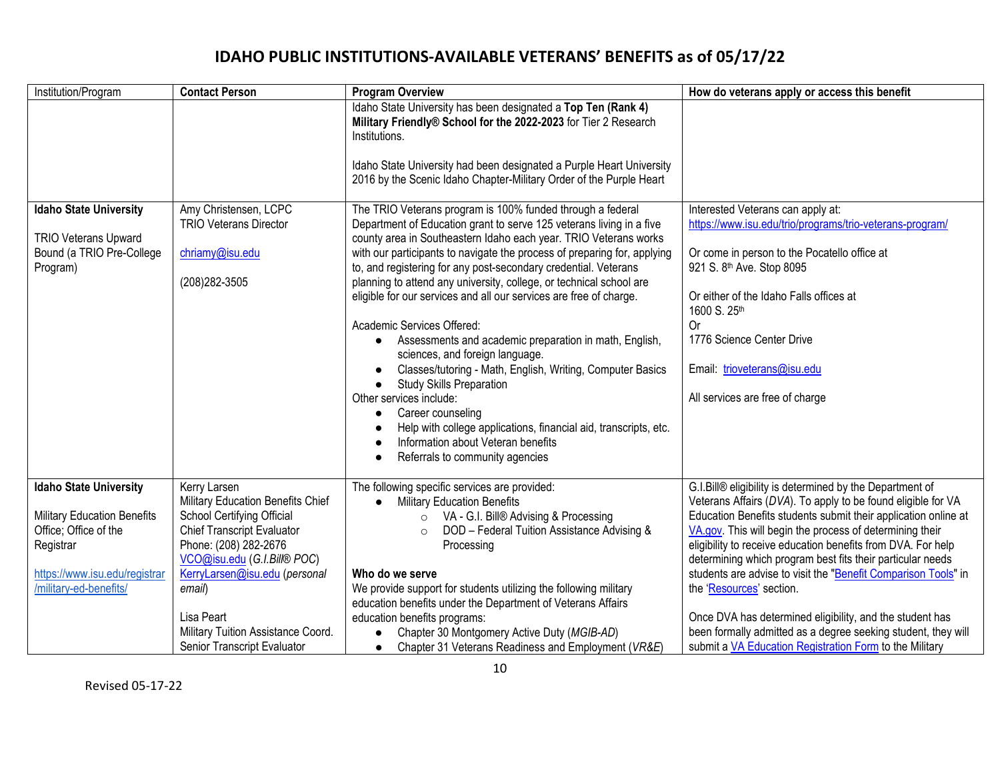| Institution/Program                   | <b>Contact Person</b>              | <b>Program Overview</b>                                                                                                                                                                                                                                                                          | How do veterans apply or access this benefit                              |
|---------------------------------------|------------------------------------|--------------------------------------------------------------------------------------------------------------------------------------------------------------------------------------------------------------------------------------------------------------------------------------------------|---------------------------------------------------------------------------|
|                                       |                                    | Idaho State University has been designated a Top Ten (Rank 4)<br>Military Friendly® School for the 2022-2023 for Tier 2 Research<br>Institutions.<br>Idaho State University had been designated a Purple Heart University<br>2016 by the Scenic Idaho Chapter-Military Order of the Purple Heart |                                                                           |
| <b>Idaho State University</b>         | Amy Christensen, LCPC              | The TRIO Veterans program is 100% funded through a federal                                                                                                                                                                                                                                       | Interested Veterans can apply at:                                         |
|                                       | <b>TRIO Veterans Director</b>      | Department of Education grant to serve 125 veterans living in a five                                                                                                                                                                                                                             | https://www.isu.edu/trio/programs/trio-veterans-program/                  |
| <b>TRIO Veterans Upward</b>           |                                    | county area in Southeastern Idaho each year. TRIO Veterans works                                                                                                                                                                                                                                 |                                                                           |
| Bound (a TRIO Pre-College<br>Program) | chriamy@isu.edu                    | with our participants to navigate the process of preparing for, applying<br>to, and registering for any post-secondary credential. Veterans                                                                                                                                                      | Or come in person to the Pocatello office at<br>921 S. 8th Ave. Stop 8095 |
|                                       | (208) 282-3505                     | planning to attend any university, college, or technical school are                                                                                                                                                                                                                              |                                                                           |
|                                       |                                    | eligible for our services and all our services are free of charge.                                                                                                                                                                                                                               | Or either of the Idaho Falls offices at<br>1600 S. 25th                   |
|                                       |                                    | Academic Services Offered:                                                                                                                                                                                                                                                                       | <b>Or</b>                                                                 |
|                                       |                                    | • Assessments and academic preparation in math, English,<br>sciences, and foreign language.                                                                                                                                                                                                      | 1776 Science Center Drive                                                 |
|                                       |                                    | Classes/tutoring - Math, English, Writing, Computer Basics                                                                                                                                                                                                                                       | Email: trioveterans@isu.edu                                               |
|                                       |                                    | <b>Study Skills Preparation</b><br>$\bullet$                                                                                                                                                                                                                                                     |                                                                           |
|                                       |                                    | Other services include:<br>Career counseling<br>$\bullet$                                                                                                                                                                                                                                        | All services are free of charge                                           |
|                                       |                                    | Help with college applications, financial aid, transcripts, etc.                                                                                                                                                                                                                                 |                                                                           |
|                                       |                                    | Information about Veteran benefits                                                                                                                                                                                                                                                               |                                                                           |
|                                       |                                    | Referrals to community agencies                                                                                                                                                                                                                                                                  |                                                                           |
| <b>Idaho State University</b>         | Kerry Larsen                       | The following specific services are provided:                                                                                                                                                                                                                                                    | G.I.Bill® eligibility is determined by the Department of                  |
|                                       | Military Education Benefits Chief  | • Military Education Benefits                                                                                                                                                                                                                                                                    | Veterans Affairs (DVA). To apply to be found eligible for VA              |
| <b>Military Education Benefits</b>    | School Certifying Official         | VA - G.I. Bill® Advising & Processing<br>$\circ$                                                                                                                                                                                                                                                 | Education Benefits students submit their application online at            |
| Office; Office of the                 | <b>Chief Transcript Evaluator</b>  | DOD - Federal Tuition Assistance Advising &<br>$\circ$                                                                                                                                                                                                                                           | VA.gov. This will begin the process of determining their                  |
| Registrar                             | Phone: (208) 282-2676              | Processing                                                                                                                                                                                                                                                                                       | eligibility to receive education benefits from DVA. For help              |
|                                       | VCO@isu.edu (G.I.Bill® POC)        |                                                                                                                                                                                                                                                                                                  | determining which program best fits their particular needs                |
| https://www.isu.edu/registrar         | KerryLarsen@isu.edu (personal      | Who do we serve                                                                                                                                                                                                                                                                                  | students are advise to visit the "Benefit Comparison Tools" in            |
| /military-ed-benefits/                | email)                             | We provide support for students utilizing the following military<br>education benefits under the Department of Veterans Affairs                                                                                                                                                                  | the 'Resources' section.                                                  |
|                                       | Lisa Peart                         | education benefits programs:                                                                                                                                                                                                                                                                     | Once DVA has determined eligibility, and the student has                  |
|                                       | Military Tuition Assistance Coord. | Chapter 30 Montgomery Active Duty (MGIB-AD)<br>$\bullet$                                                                                                                                                                                                                                         | been formally admitted as a degree seeking student, they will             |
|                                       | Senior Transcript Evaluator        | Chapter 31 Veterans Readiness and Employment (VR&E)<br>$\bullet$                                                                                                                                                                                                                                 | submit a VA Education Registration Form to the Military                   |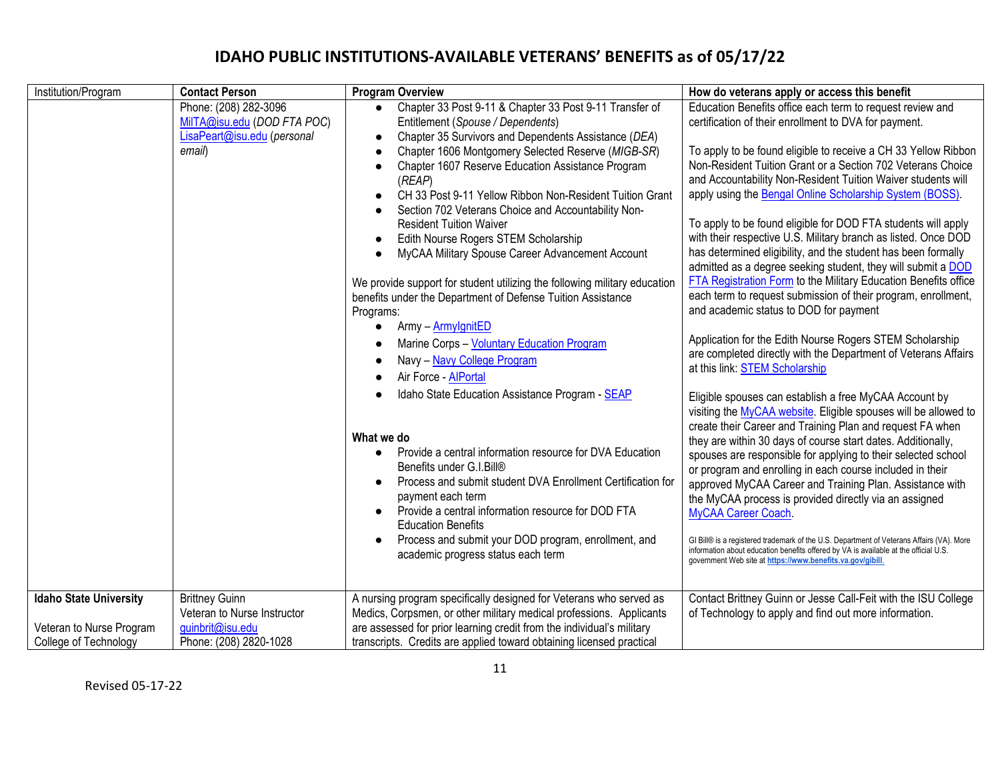| Institution/Program                                                                | <b>Contact Person</b>                                                                              | <b>Program Overview</b>                                                                                                                                                                                                                                                                                                                                                                                                                                                                                                                                                                      | How do veterans apply or access this benefit                                                                                                                                                                                                                                                                                                                                                                                                                                                                                                                                                                                                                                                                                                                                        |
|------------------------------------------------------------------------------------|----------------------------------------------------------------------------------------------------|----------------------------------------------------------------------------------------------------------------------------------------------------------------------------------------------------------------------------------------------------------------------------------------------------------------------------------------------------------------------------------------------------------------------------------------------------------------------------------------------------------------------------------------------------------------------------------------------|-------------------------------------------------------------------------------------------------------------------------------------------------------------------------------------------------------------------------------------------------------------------------------------------------------------------------------------------------------------------------------------------------------------------------------------------------------------------------------------------------------------------------------------------------------------------------------------------------------------------------------------------------------------------------------------------------------------------------------------------------------------------------------------|
|                                                                                    | Phone: (208) 282-3096<br>MilTA@isu.edu (DOD FTA POC)<br>LisaPeart@isu.edu (personal                | Chapter 33 Post 9-11 & Chapter 33 Post 9-11 Transfer of<br>$\bullet$<br>Entitlement (Spouse / Dependents)<br>Chapter 35 Survivors and Dependents Assistance (DEA)<br>$\bullet$                                                                                                                                                                                                                                                                                                                                                                                                               | Education Benefits office each term to request review and<br>certification of their enrollment to DVA for payment.                                                                                                                                                                                                                                                                                                                                                                                                                                                                                                                                                                                                                                                                  |
|                                                                                    | email)                                                                                             | Chapter 1606 Montgomery Selected Reserve (MIGB-SR)<br>$\bullet$<br>Chapter 1607 Reserve Education Assistance Program<br>$\bullet$<br>(REAP)<br>CH 33 Post 9-11 Yellow Ribbon Non-Resident Tuition Grant<br>$\bullet$<br>Section 702 Veterans Choice and Accountability Non-<br><b>Resident Tuition Waiver</b><br>Edith Nourse Rogers STEM Scholarship<br>$\bullet$<br>MyCAA Military Spouse Career Advancement Account<br>$\bullet$<br>We provide support for student utilizing the following military education<br>benefits under the Department of Defense Tuition Assistance<br>Programs: | To apply to be found eligible to receive a CH 33 Yellow Ribbon<br>Non-Resident Tuition Grant or a Section 702 Veterans Choice<br>and Accountability Non-Resident Tuition Waiver students will<br>apply using the Bengal Online Scholarship System (BOSS).<br>To apply to be found eligible for DOD FTA students will apply<br>with their respective U.S. Military branch as listed. Once DOD<br>has determined eligibility, and the student has been formally<br>admitted as a degree seeking student, they will submit a DOD<br><b>FTA Registration Form to the Military Education Benefits office</b><br>each term to request submission of their program, enrollment,<br>and academic status to DOD for payment                                                                  |
|                                                                                    |                                                                                                    | Army - ArmylgnitED<br>$\bullet$<br>Marine Corps - Voluntary Education Program<br>Navy - Navy College Program<br>$\bullet$<br>Air Force - AlPortal<br>$\bullet$                                                                                                                                                                                                                                                                                                                                                                                                                               | Application for the Edith Nourse Rogers STEM Scholarship<br>are completed directly with the Department of Veterans Affairs<br>at this link: STEM Scholarship                                                                                                                                                                                                                                                                                                                                                                                                                                                                                                                                                                                                                        |
|                                                                                    |                                                                                                    | Idaho State Education Assistance Program - SEAP<br>What we do<br>Provide a central information resource for DVA Education<br>$\bullet$<br>Benefits under G.I.Bill®<br>Process and submit student DVA Enrollment Certification for<br>payment each term<br>Provide a central information resource for DOD FTA<br>$\bullet$<br><b>Education Benefits</b><br>Process and submit your DOD program, enrollment, and<br>academic progress status each term                                                                                                                                         | Eligible spouses can establish a free MyCAA Account by<br>visiting the MyCAA website. Eligible spouses will be allowed to<br>create their Career and Training Plan and request FA when<br>they are within 30 days of course start dates. Additionally,<br>spouses are responsible for applying to their selected school<br>or program and enrolling in each course included in their<br>approved MyCAA Career and Training Plan. Assistance with<br>the MyCAA process is provided directly via an assigned<br>MyCAA Career Coach.<br>GI Bill® is a registered trademark of the U.S. Department of Veterans Affairs (VA). More<br>information about education benefits offered by VA is available at the official U.S.<br>government Web site at https://www.benefits.va.gov/gibill. |
| <b>Idaho State University</b><br>Veteran to Nurse Program<br>College of Technology | <b>Brittney Guinn</b><br>Veteran to Nurse Instructor<br>guinbrit@isu.edu<br>Phone: (208) 2820-1028 | A nursing program specifically designed for Veterans who served as<br>Medics, Corpsmen, or other military medical professions. Applicants<br>are assessed for prior learning credit from the individual's military<br>transcripts. Credits are applied toward obtaining licensed practical                                                                                                                                                                                                                                                                                                   | Contact Brittney Guinn or Jesse Call-Feit with the ISU College<br>of Technology to apply and find out more information.                                                                                                                                                                                                                                                                                                                                                                                                                                                                                                                                                                                                                                                             |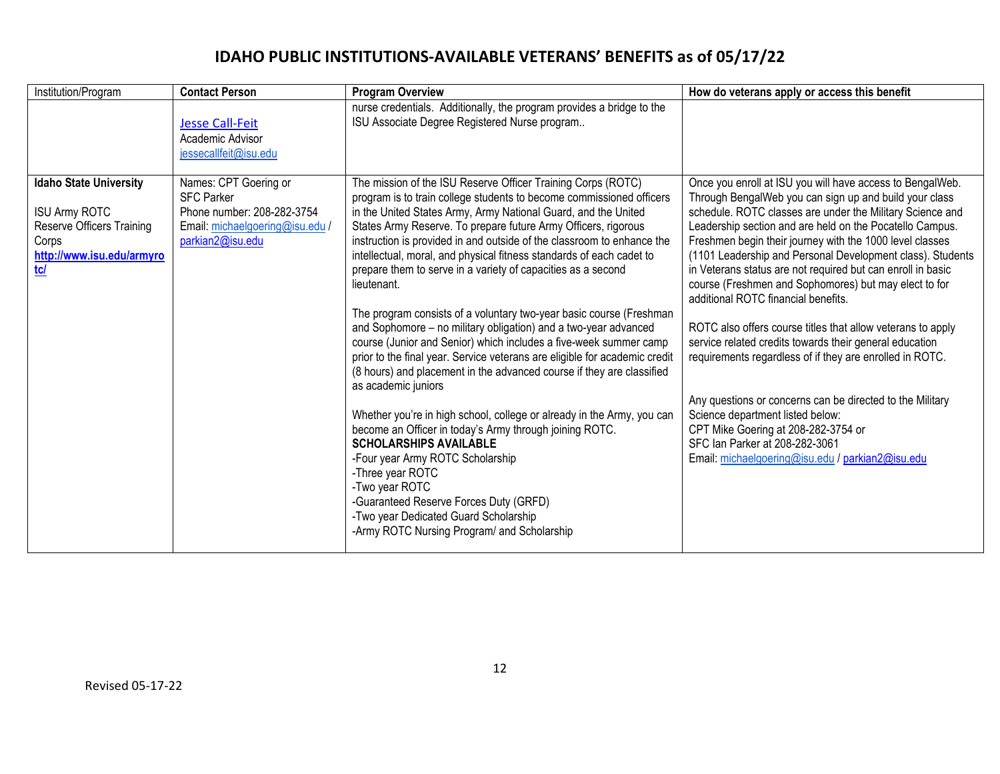| Institution/Program                                                                                                             | <b>Contact Person</b>                                                                                                           | <b>Program Overview</b>                                                                                                                                                                                                                                                                                                                                                                                                                                                                                                                                                                                                                                                                                                                                                                                                                                                                                                                                                                                                                                                                                                                                                                                                                                                                  | How do veterans apply or access this benefit                                                                                                                                                                                                                                                                                                                                                                                                                                                                                                                                                                                                                                                                                                                                                                                                                                                                                                              |
|---------------------------------------------------------------------------------------------------------------------------------|---------------------------------------------------------------------------------------------------------------------------------|------------------------------------------------------------------------------------------------------------------------------------------------------------------------------------------------------------------------------------------------------------------------------------------------------------------------------------------------------------------------------------------------------------------------------------------------------------------------------------------------------------------------------------------------------------------------------------------------------------------------------------------------------------------------------------------------------------------------------------------------------------------------------------------------------------------------------------------------------------------------------------------------------------------------------------------------------------------------------------------------------------------------------------------------------------------------------------------------------------------------------------------------------------------------------------------------------------------------------------------------------------------------------------------|-----------------------------------------------------------------------------------------------------------------------------------------------------------------------------------------------------------------------------------------------------------------------------------------------------------------------------------------------------------------------------------------------------------------------------------------------------------------------------------------------------------------------------------------------------------------------------------------------------------------------------------------------------------------------------------------------------------------------------------------------------------------------------------------------------------------------------------------------------------------------------------------------------------------------------------------------------------|
|                                                                                                                                 | <b>Jesse Call-Feit</b><br>Academic Advisor<br>jessecallfeit@isu.edu                                                             | nurse credentials. Additionally, the program provides a bridge to the<br>ISU Associate Degree Registered Nurse program                                                                                                                                                                                                                                                                                                                                                                                                                                                                                                                                                                                                                                                                                                                                                                                                                                                                                                                                                                                                                                                                                                                                                                   |                                                                                                                                                                                                                                                                                                                                                                                                                                                                                                                                                                                                                                                                                                                                                                                                                                                                                                                                                           |
| <b>Idaho State University</b><br><b>ISU Army ROTC</b><br>Reserve Officers Training<br>Corps<br>http://www.isu.edu/armyro<br>tcl | Names: CPT Goering or<br><b>SFC Parker</b><br>Phone number: 208-282-3754<br>Email: michaelgoering@isu.edu /<br>parkian2@isu.edu | The mission of the ISU Reserve Officer Training Corps (ROTC)<br>program is to train college students to become commissioned officers<br>in the United States Army, Army National Guard, and the United<br>States Army Reserve. To prepare future Army Officers, rigorous<br>instruction is provided in and outside of the classroom to enhance the<br>intellectual, moral, and physical fitness standards of each cadet to<br>prepare them to serve in a variety of capacities as a second<br>lieutenant.<br>The program consists of a voluntary two-year basic course (Freshman<br>and Sophomore - no military obligation) and a two-year advanced<br>course (Junior and Senior) which includes a five-week summer camp<br>prior to the final year. Service veterans are eligible for academic credit<br>(8 hours) and placement in the advanced course if they are classified<br>as academic juniors<br>Whether you're in high school, college or already in the Army, you can<br>become an Officer in today's Army through joining ROTC.<br><b>SCHOLARSHIPS AVAILABLE</b><br>-Four year Army ROTC Scholarship<br>-Three year ROTC<br>-Two year ROTC<br>-Guaranteed Reserve Forces Duty (GRFD)<br>-Two year Dedicated Guard Scholarship<br>-Army ROTC Nursing Program/ and Scholarship | Once you enroll at ISU you will have access to BengalWeb.<br>Through BengalWeb you can sign up and build your class<br>schedule. ROTC classes are under the Military Science and<br>Leadership section and are held on the Pocatello Campus.<br>Freshmen begin their journey with the 1000 level classes<br>(1101 Leadership and Personal Development class). Students<br>in Veterans status are not required but can enroll in basic<br>course (Freshmen and Sophomores) but may elect to for<br>additional ROTC financial benefits.<br>ROTC also offers course titles that allow veterans to apply<br>service related credits towards their general education<br>requirements regardless of if they are enrolled in ROTC.<br>Any questions or concerns can be directed to the Military<br>Science department listed below:<br>CPT Mike Goering at 208-282-3754 or<br>SFC Ian Parker at 208-282-3061<br>Email: michaelgoering@isu.edu / parkian2@isu.edu |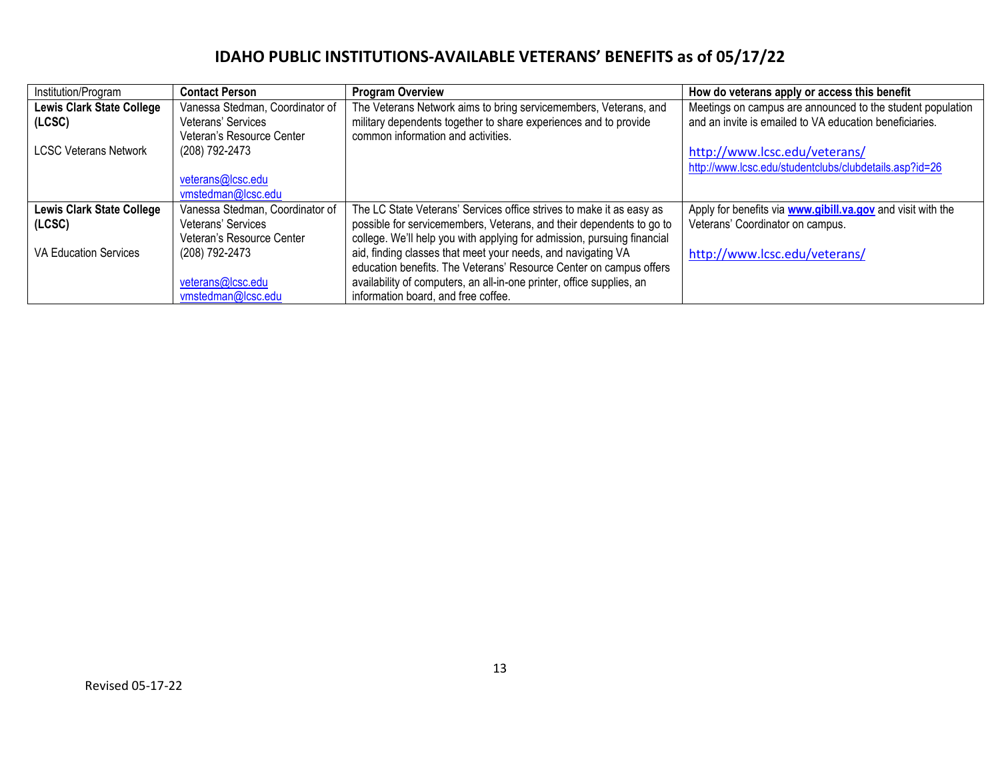| Institution/Program              | <b>Contact Person</b>           | <b>Program Overview</b>                                                 | How do veterans apply or access this benefit                       |
|----------------------------------|---------------------------------|-------------------------------------------------------------------------|--------------------------------------------------------------------|
| <b>Lewis Clark State College</b> | Vanessa Stedman, Coordinator of | The Veterans Network aims to bring servicemembers, Veterans, and        | Meetings on campus are announced to the student population         |
| (LCSC)                           | Veterans' Services              | military dependents together to share experiences and to provide        | and an invite is emailed to VA education beneficiaries.            |
|                                  | Veteran's Resource Center       | common information and activities.                                      |                                                                    |
| <b>LCSC Veterans Network</b>     | (208) 792-2473                  |                                                                         | http://www.lcsc.edu/veterans/                                      |
|                                  |                                 |                                                                         | http://www.lcsc.edu/studentclubs/clubdetails.asp?id=26             |
|                                  | veterans@lcsc.edu               |                                                                         |                                                                    |
|                                  | vmstedman@lcsc.edu              |                                                                         |                                                                    |
| <b>Lewis Clark State College</b> | Vanessa Stedman, Coordinator of | The LC State Veterans' Services office strives to make it as easy as    | Apply for benefits via <b>www.gibill.va.gov</b> and visit with the |
| (LCSC)                           | Veterans' Services              | possible for servicemembers, Veterans, and their dependents to go to    | Veterans' Coordinator on campus.                                   |
|                                  | Veteran's Resource Center       | college. We'll help you with applying for admission, pursuing financial |                                                                    |
| VA Education Services            | (208) 792-2473                  | aid, finding classes that meet your needs, and navigating VA            | http://www.lcsc.edu/veterans/                                      |
|                                  |                                 | education benefits. The Veterans' Resource Center on campus offers      |                                                                    |
|                                  | veterans@lcsc.edu               | availability of computers, an all-in-one printer, office supplies, an   |                                                                    |
|                                  | vmstedman@lcsc.edu              | information board, and free coffee.                                     |                                                                    |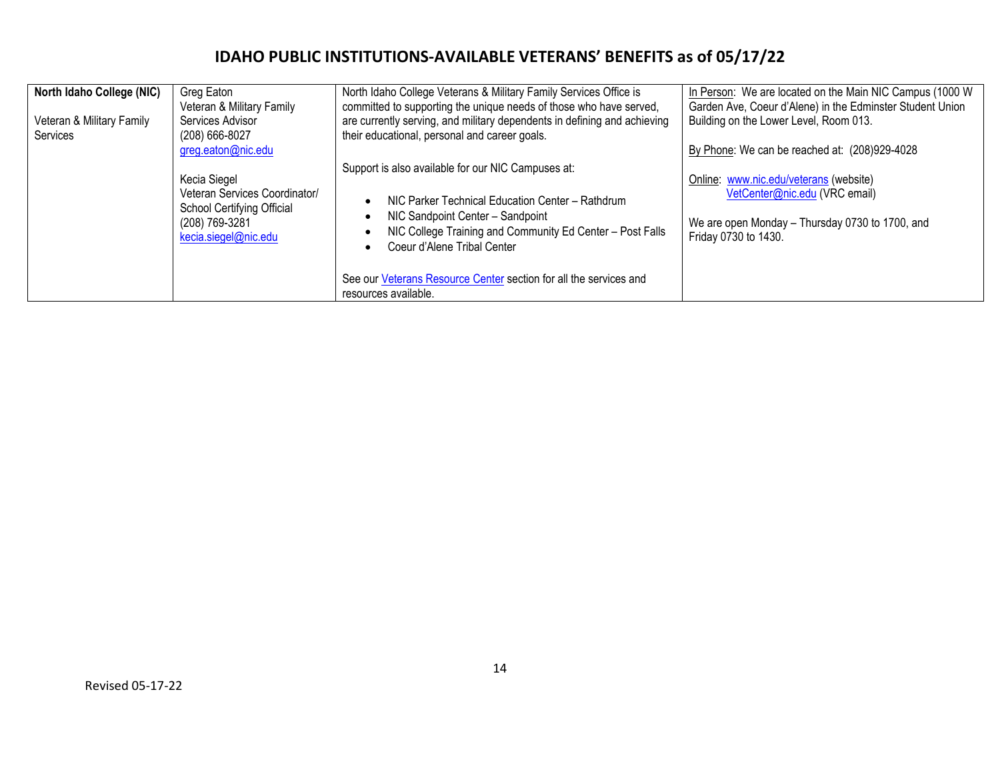| North Idaho College (NIC)<br>Veteran & Military Family<br>Services | Greg Eaton<br>Veteran & Military Family<br>Services Advisor<br>$(208)$ 666-8027                                       | North Idaho College Veterans & Military Family Services Office is<br>committed to supporting the unique needs of those who have served,<br>are currently serving, and military dependents in defining and achieving<br>their educational, personal and career goals.                                                                | In Person: We are located on the Main NIC Campus (1000 W)<br>Garden Ave, Coeur d'Alene) in the Edminster Student Union<br>Building on the Lower Level, Room 013. |
|--------------------------------------------------------------------|-----------------------------------------------------------------------------------------------------------------------|-------------------------------------------------------------------------------------------------------------------------------------------------------------------------------------------------------------------------------------------------------------------------------------------------------------------------------------|------------------------------------------------------------------------------------------------------------------------------------------------------------------|
|                                                                    | greg.eaton@nic.edu                                                                                                    |                                                                                                                                                                                                                                                                                                                                     | By Phone: We can be reached at: (208)929-4028                                                                                                                    |
|                                                                    | Kecia Siegel<br>Veteran Services Coordinator/<br>School Certifying Official<br>(208) 769-3281<br>kecia.siegel@nic.edu | Support is also available for our NIC Campuses at:<br>NIC Parker Technical Education Center - Rathdrum<br>NIC Sandpoint Center - Sandpoint<br>NIC College Training and Community Ed Center - Post Falls<br>Coeur d'Alene Tribal Center<br>See our Veterans Resource Center section for all the services and<br>resources available. | Online: www.nic.edu/veterans (website)<br>VetCenter@nic.edu (VRC email)<br>We are open Monday - Thursday 0730 to 1700, and<br>Friday 0730 to 1430.               |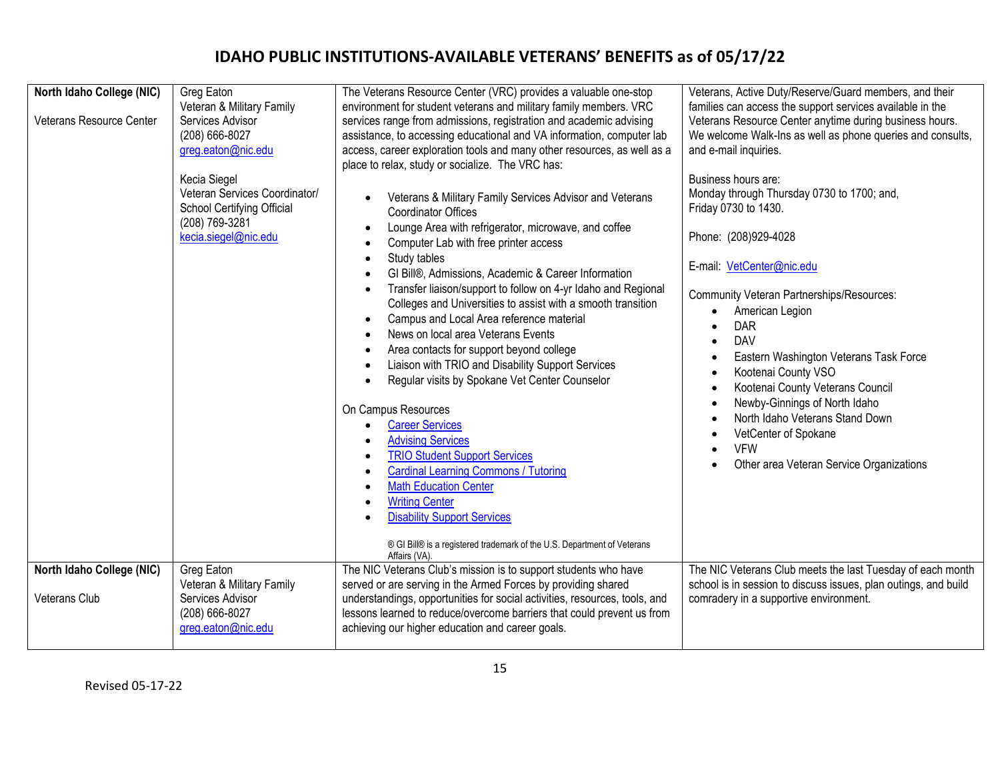| North Idaho College (NIC)<br>Veterans Resource Center | Greg Eaton<br>Veteran & Military Family<br>Services Advisor<br>(208) 666-8027<br>greg.eaton@nic.edu<br>Kecia Siegel<br>Veteran Services Coordinator/<br>School Certifying Official<br>(208) 769-3281<br>kecia.siegel@nic.edu | The Veterans Resource Center (VRC) provides a valuable one-stop<br>environment for student veterans and military family members. VRC<br>services range from admissions, registration and academic advising<br>assistance, to accessing educational and VA information, computer lab<br>access, career exploration tools and many other resources, as well as a<br>place to relax, study or socialize. The VRC has:<br>Veterans & Military Family Services Advisor and Veterans<br>$\bullet$<br><b>Coordinator Offices</b><br>Lounge Area with refrigerator, microwave, and coffee<br>$\bullet$<br>Computer Lab with free printer access<br>$\bullet$<br>Study tables<br>$\bullet$<br>GI Bill®, Admissions, Academic & Career Information<br>$\bullet$<br>Transfer liaison/support to follow on 4-yr Idaho and Regional<br>$\bullet$<br>Colleges and Universities to assist with a smooth transition<br>Campus and Local Area reference material<br>$\bullet$<br>News on local area Veterans Events<br>$\bullet$<br>Area contacts for support beyond college<br>$\bullet$<br>Liaison with TRIO and Disability Support Services<br>$\bullet$<br>Regular visits by Spokane Vet Center Counselor<br>$\bullet$<br>On Campus Resources<br><b>Career Services</b><br>$\bullet$<br><b>Advising Services</b><br>$\bullet$<br><b>TRIO Student Support Services</b><br>$\bullet$<br><b>Cardinal Learning Commons / Tutoring</b><br>$\bullet$<br><b>Math Education Center</b><br>$\bullet$<br><b>Writing Center</b><br>$\bullet$<br><b>Disability Support Services</b><br>® GI Bill® is a registered trademark of the U.S. Department of Veterans<br>Affairs (VA). | Veterans, Active Duty/Reserve/Guard members, and their<br>families can access the support services available in the<br>Veterans Resource Center anytime during business hours.<br>We welcome Walk-Ins as well as phone queries and consults,<br>and e-mail inquiries.<br>Business hours are:<br>Monday through Thursday 0730 to 1700; and,<br>Friday 0730 to 1430.<br>Phone: (208)929-4028<br>E-mail: VetCenter@nic.edu<br><b>Community Veteran Partnerships/Resources:</b><br>American Legion<br><b>DAR</b><br><b>DAV</b><br>$\bullet$<br>Eastern Washington Veterans Task Force<br>$\bullet$<br>Kootenai County VSO<br>$\bullet$<br>Kootenai County Veterans Council<br>$\bullet$<br>Newby-Ginnings of North Idaho<br>$\bullet$<br>North Idaho Veterans Stand Down<br>VetCenter of Spokane<br><b>VFW</b><br>Other area Veteran Service Organizations |
|-------------------------------------------------------|------------------------------------------------------------------------------------------------------------------------------------------------------------------------------------------------------------------------------|--------------------------------------------------------------------------------------------------------------------------------------------------------------------------------------------------------------------------------------------------------------------------------------------------------------------------------------------------------------------------------------------------------------------------------------------------------------------------------------------------------------------------------------------------------------------------------------------------------------------------------------------------------------------------------------------------------------------------------------------------------------------------------------------------------------------------------------------------------------------------------------------------------------------------------------------------------------------------------------------------------------------------------------------------------------------------------------------------------------------------------------------------------------------------------------------------------------------------------------------------------------------------------------------------------------------------------------------------------------------------------------------------------------------------------------------------------------------------------------------------------------------------------------------------------------------------------------------------------------------------------------------------------|--------------------------------------------------------------------------------------------------------------------------------------------------------------------------------------------------------------------------------------------------------------------------------------------------------------------------------------------------------------------------------------------------------------------------------------------------------------------------------------------------------------------------------------------------------------------------------------------------------------------------------------------------------------------------------------------------------------------------------------------------------------------------------------------------------------------------------------------------------|
| North Idaho College (NIC)<br>Veterans Club            | Greg Eaton<br>Veteran & Military Family<br>Services Advisor<br>(208) 666-8027<br>greg.eaton@nic.edu                                                                                                                          | The NIC Veterans Club's mission is to support students who have<br>served or are serving in the Armed Forces by providing shared<br>understandings, opportunities for social activities, resources, tools, and<br>lessons learned to reduce/overcome barriers that could prevent us from<br>achieving our higher education and career goals.                                                                                                                                                                                                                                                                                                                                                                                                                                                                                                                                                                                                                                                                                                                                                                                                                                                                                                                                                                                                                                                                                                                                                                                                                                                                                                           | The NIC Veterans Club meets the last Tuesday of each month<br>school is in session to discuss issues, plan outings, and build<br>comradery in a supportive environment.                                                                                                                                                                                                                                                                                                                                                                                                                                                                                                                                                                                                                                                                                |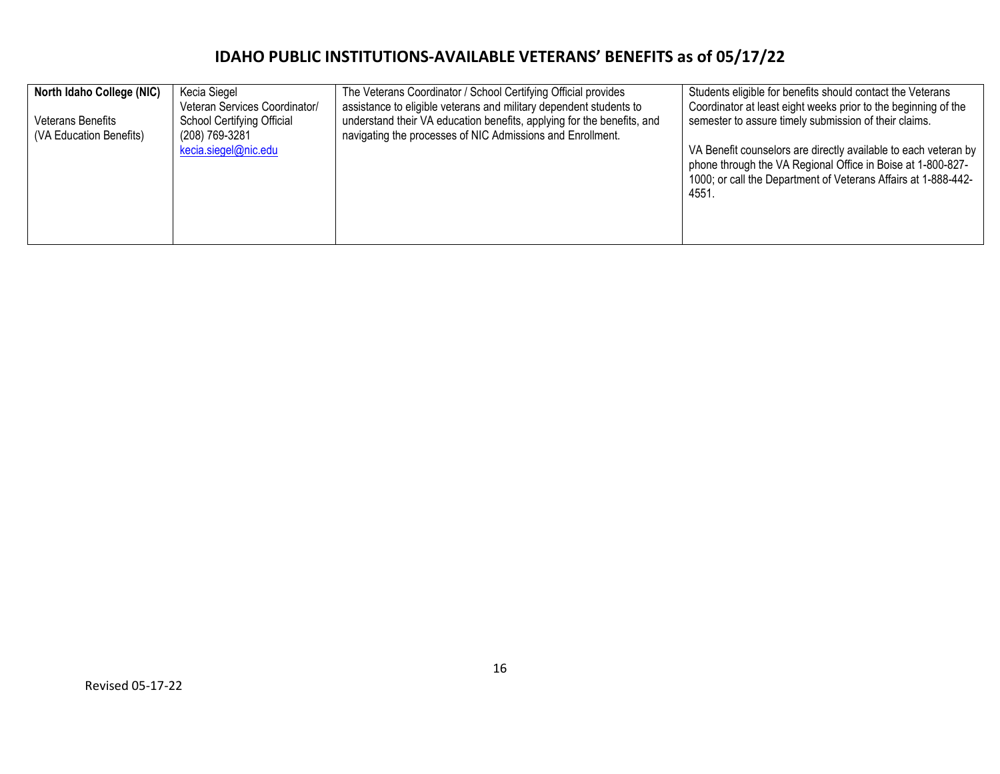| <b>North Idaho College (NIC)</b><br>Veterans Benefits<br>(VA Education Benefits) | Kecia Siegel<br>Veteran Services Coordinator/<br>School Certifying Official<br>(208) 769-3281<br>kecia.siegel@nic.edu | The Veterans Coordinator / School Certifying Official provides<br>assistance to eligible veterans and military dependent students to<br>understand their VA education benefits, applying for the benefits, and<br>navigating the processes of NIC Admissions and Enrollment. | Students eligible for benefits should contact the Veterans<br>Coordinator at least eight weeks prior to the beginning of the<br>semester to assure timely submission of their claims.<br>VA Benefit counselors are directly available to each veteran by<br>phone through the VA Regional Office in Boise at 1-800-827-<br>1000; or call the Department of Veterans Affairs at 1-888-442- |
|----------------------------------------------------------------------------------|-----------------------------------------------------------------------------------------------------------------------|------------------------------------------------------------------------------------------------------------------------------------------------------------------------------------------------------------------------------------------------------------------------------|-------------------------------------------------------------------------------------------------------------------------------------------------------------------------------------------------------------------------------------------------------------------------------------------------------------------------------------------------------------------------------------------|
|                                                                                  |                                                                                                                       |                                                                                                                                                                                                                                                                              | 4551                                                                                                                                                                                                                                                                                                                                                                                      |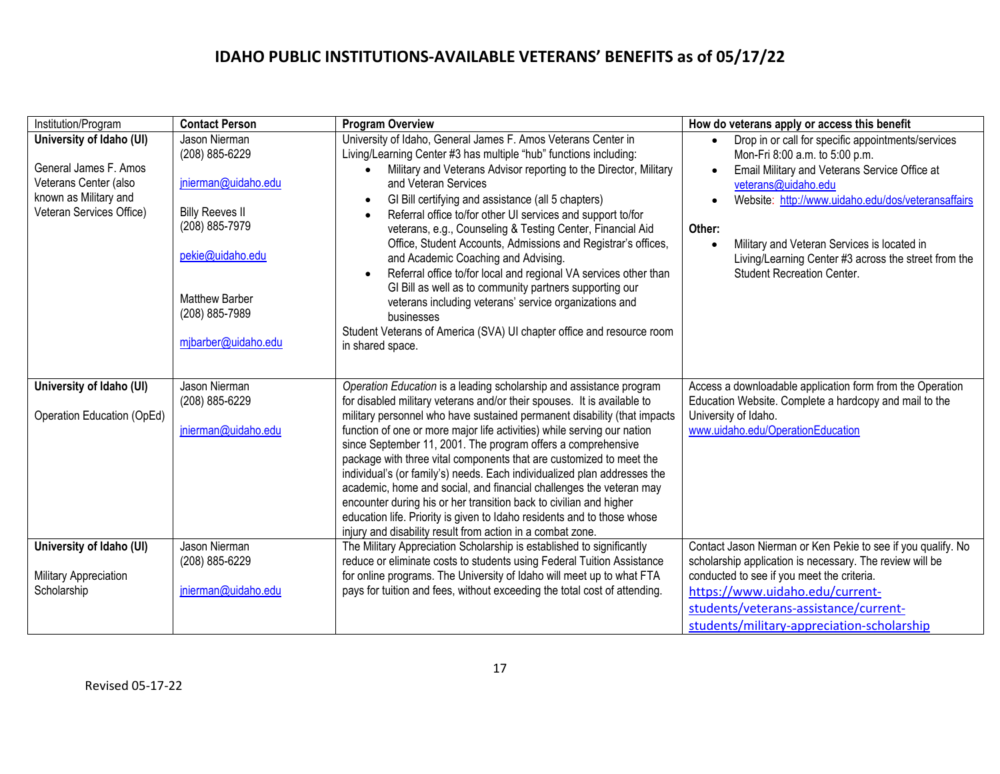| Institution/Program                                                                                                             | <b>Contact Person</b>                                                                                                                                                                    | <b>Program Overview</b>                                                                                                                                                                                                                                                                                                                                                                                                                                                                                                                                                                                                                                                                                                                                                                                                                                                                 | How do veterans apply or access this benefit                                                                                                                                                                                                                                                                                                                             |
|---------------------------------------------------------------------------------------------------------------------------------|------------------------------------------------------------------------------------------------------------------------------------------------------------------------------------------|-----------------------------------------------------------------------------------------------------------------------------------------------------------------------------------------------------------------------------------------------------------------------------------------------------------------------------------------------------------------------------------------------------------------------------------------------------------------------------------------------------------------------------------------------------------------------------------------------------------------------------------------------------------------------------------------------------------------------------------------------------------------------------------------------------------------------------------------------------------------------------------------|--------------------------------------------------------------------------------------------------------------------------------------------------------------------------------------------------------------------------------------------------------------------------------------------------------------------------------------------------------------------------|
| University of Idaho (UI)<br>General James F. Amos<br>Veterans Center (also<br>known as Military and<br>Veteran Services Office) | Jason Nierman<br>(208) 885-6229<br>jnierman@uidaho.edu<br><b>Billy Reeves II</b><br>(208) 885-7979<br>pekie@uidaho.edu<br><b>Matthew Barber</b><br>(208) 885-7989<br>mjbarber@uidaho.edu | University of Idaho, General James F. Amos Veterans Center in<br>Living/Learning Center #3 has multiple "hub" functions including:<br>Military and Veterans Advisor reporting to the Director, Military<br>and Veteran Services<br>GI Bill certifying and assistance (all 5 chapters)<br>$\bullet$<br>Referral office to/for other UI services and support to/for<br>$\bullet$<br>veterans, e.g., Counseling & Testing Center, Financial Aid<br>Office, Student Accounts, Admissions and Registrar's offices,<br>and Academic Coaching and Advising.<br>Referral office to/for local and regional VA services other than<br>$\bullet$<br>GI Bill as well as to community partners supporting our<br>veterans including veterans' service organizations and<br>businesses<br>Student Veterans of America (SVA) UI chapter office and resource room<br>in shared space.                   | Drop in or call for specific appointments/services<br>Mon-Fri 8:00 a.m. to 5:00 p.m.<br>Email Military and Veterans Service Office at<br>veterans@uidaho.edu<br>Website: http://www.uidaho.edu/dos/veteransaffairs<br>Other:<br>Military and Veteran Services is located in<br>Living/Learning Center #3 across the street from the<br><b>Student Recreation Center.</b> |
| University of Idaho (UI)<br>Operation Education (OpEd)<br>University of Idaho (UI)                                              | Jason Nierman<br>(208) 885-6229<br>jnierman@uidaho.edu<br>Jason Nierman                                                                                                                  | Operation Education is a leading scholarship and assistance program<br>for disabled military veterans and/or their spouses. It is available to<br>military personnel who have sustained permanent disability (that impacts<br>function of one or more major life activities) while serving our nation<br>since September 11, 2001. The program offers a comprehensive<br>package with three vital components that are customized to meet the<br>individual's (or family's) needs. Each individualized plan addresses the<br>academic, home and social, and financial challenges the veteran may<br>encounter during his or her transition back to civilian and higher<br>education life. Priority is given to Idaho residents and to those whose<br>injury and disability result from action in a combat zone.<br>The Military Appreciation Scholarship is established to significantly | Access a downloadable application form from the Operation<br>Education Website. Complete a hardcopy and mail to the<br>University of Idaho.<br>www.uidaho.edu/OperationEducation<br>Contact Jason Nierman or Ken Pekie to see if you qualify. No                                                                                                                         |
| <b>Military Appreciation</b><br>Scholarship                                                                                     | (208) 885-6229<br>jnierman@uidaho.edu                                                                                                                                                    | reduce or eliminate costs to students using Federal Tuition Assistance<br>for online programs. The University of Idaho will meet up to what FTA<br>pays for tuition and fees, without exceeding the total cost of attending.                                                                                                                                                                                                                                                                                                                                                                                                                                                                                                                                                                                                                                                            | scholarship application is necessary. The review will be<br>conducted to see if you meet the criteria.<br>https://www.uidaho.edu/current-<br>students/veterans-assistance/current-<br>students/military-appreciation-scholarship                                                                                                                                         |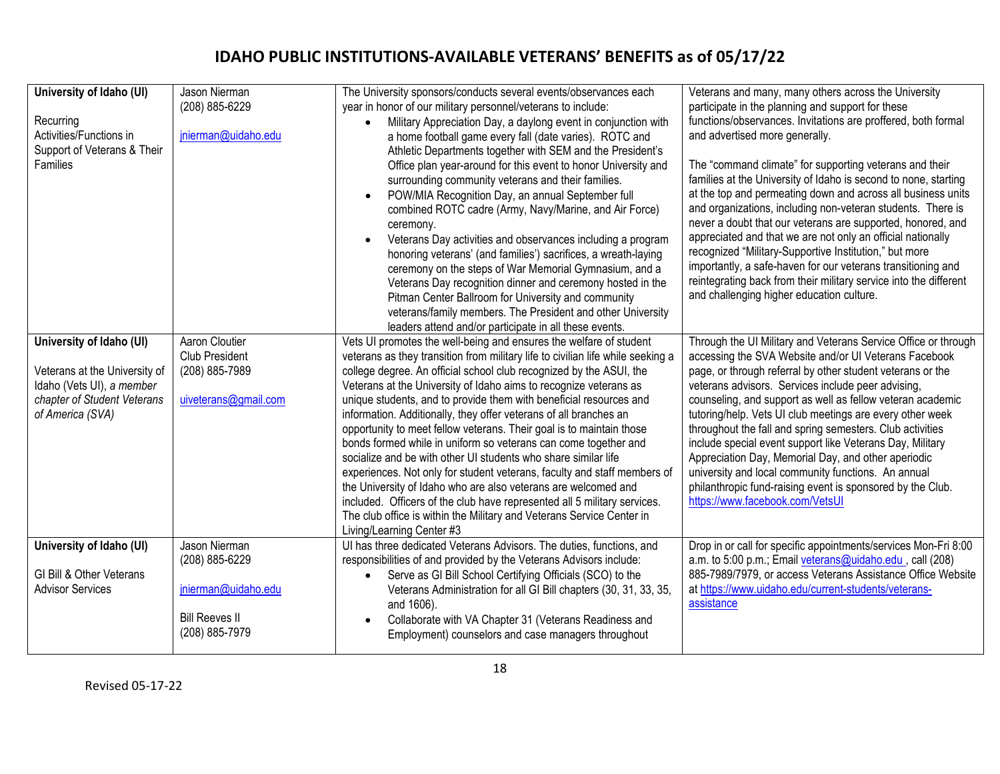|                               | Jason Nierman         |                                                                                                                                                   |                                                                                                           |
|-------------------------------|-----------------------|---------------------------------------------------------------------------------------------------------------------------------------------------|-----------------------------------------------------------------------------------------------------------|
| University of Idaho (UI)      | (208) 885-6229        | The University sponsors/conducts several events/observances each<br>year in honor of our military personnel/veterans to include:                  | Veterans and many, many others across the University<br>participate in the planning and support for these |
| Recurring                     |                       | Military Appreciation Day, a daylong event in conjunction with<br>$\bullet$                                                                       | functions/observances. Invitations are proffered, both formal                                             |
| Activities/Functions in       | jnierman@uidaho.edu   | a home football game every fall (date varies). ROTC and                                                                                           | and advertised more generally.                                                                            |
| Support of Veterans & Their   |                       | Athletic Departments together with SEM and the President's                                                                                        |                                                                                                           |
| Families                      |                       | Office plan year-around for this event to honor University and                                                                                    | The "command climate" for supporting veterans and their                                                   |
|                               |                       | surrounding community veterans and their families.                                                                                                | families at the University of Idaho is second to none, starting                                           |
|                               |                       | POW/MIA Recognition Day, an annual September full<br>$\bullet$                                                                                    | at the top and permeating down and across all business units                                              |
|                               |                       | combined ROTC cadre (Army, Navy/Marine, and Air Force)                                                                                            | and organizations, including non-veteran students. There is                                               |
|                               |                       | ceremony.                                                                                                                                         | never a doubt that our veterans are supported, honored, and                                               |
|                               |                       | Veterans Day activities and observances including a program                                                                                       | appreciated and that we are not only an official nationally                                               |
|                               |                       | honoring veterans' (and families') sacrifices, a wreath-laying                                                                                    | recognized "Military-Supportive Institution," but more                                                    |
|                               |                       | ceremony on the steps of War Memorial Gymnasium, and a                                                                                            | importantly, a safe-haven for our veterans transitioning and                                              |
|                               |                       | Veterans Day recognition dinner and ceremony hosted in the                                                                                        | reintegrating back from their military service into the different                                         |
|                               |                       | Pitman Center Ballroom for University and community                                                                                               | and challenging higher education culture.                                                                 |
|                               |                       | veterans/family members. The President and other University                                                                                       |                                                                                                           |
|                               |                       | leaders attend and/or participate in all these events.                                                                                            |                                                                                                           |
| University of Idaho (UI)      | Aaron Cloutier        | Vets UI promotes the well-being and ensures the welfare of student                                                                                | Through the UI Military and Veterans Service Office or through                                            |
|                               | <b>Club President</b> | veterans as they transition from military life to civilian life while seeking a                                                                   | accessing the SVA Website and/or UI Veterans Facebook                                                     |
| Veterans at the University of | (208) 885-7989        | college degree. An official school club recognized by the ASUI, the                                                                               | page, or through referral by other student veterans or the                                                |
| Idaho (Vets UI), a member     |                       | Veterans at the University of Idaho aims to recognize veterans as                                                                                 | veterans advisors. Services include peer advising,                                                        |
| chapter of Student Veterans   | uiveterans@gmail.com  | unique students, and to provide them with beneficial resources and                                                                                | counseling, and support as well as fellow veteran academic                                                |
| of America (SVA)              |                       | information. Additionally, they offer veterans of all branches an                                                                                 | tutoring/help. Vets UI club meetings are every other week                                                 |
|                               |                       | opportunity to meet fellow veterans. Their goal is to maintain those                                                                              | throughout the fall and spring semesters. Club activities                                                 |
|                               |                       | bonds formed while in uniform so veterans can come together and                                                                                   | include special event support like Veterans Day, Military                                                 |
|                               |                       | socialize and be with other UI students who share similar life                                                                                    | Appreciation Day, Memorial Day, and other aperiodic                                                       |
|                               |                       | experiences. Not only for student veterans, faculty and staff members of                                                                          | university and local community functions. An annual                                                       |
|                               |                       | the University of Idaho who are also veterans are welcomed and                                                                                    | philanthropic fund-raising event is sponsored by the Club.                                                |
|                               |                       | included. Officers of the club have represented all 5 military services.<br>The club office is within the Military and Veterans Service Center in | https://www.facebook.com/VetsUI                                                                           |
|                               |                       | Living/Learning Center #3                                                                                                                         |                                                                                                           |
| University of Idaho (UI)      | Jason Nierman         | UI has three dedicated Veterans Advisors. The duties, functions, and                                                                              | Drop in or call for specific appointments/services Mon-Fri 8:00                                           |
|                               | (208) 885-6229        | responsibilities of and provided by the Veterans Advisors include:                                                                                | a.m. to 5:00 p.m.; Email veterans@uidaho.edu, call (208)                                                  |
| GI Bill & Other Veterans      |                       | Serve as GI Bill School Certifying Officials (SCO) to the<br>$\bullet$                                                                            | 885-7989/7979, or access Veterans Assistance Office Website                                               |
| <b>Advisor Services</b>       | jnierman@uidaho.edu   | Veterans Administration for all GI Bill chapters (30, 31, 33, 35,                                                                                 | at https://www.uidaho.edu/current-students/veterans-                                                      |
|                               |                       | and 1606).                                                                                                                                        | assistance                                                                                                |
|                               | <b>Bill Reeves II</b> | Collaborate with VA Chapter 31 (Veterans Readiness and<br>$\bullet$                                                                               |                                                                                                           |
|                               | (208) 885-7979        | Employment) counselors and case managers throughout                                                                                               |                                                                                                           |
|                               |                       |                                                                                                                                                   |                                                                                                           |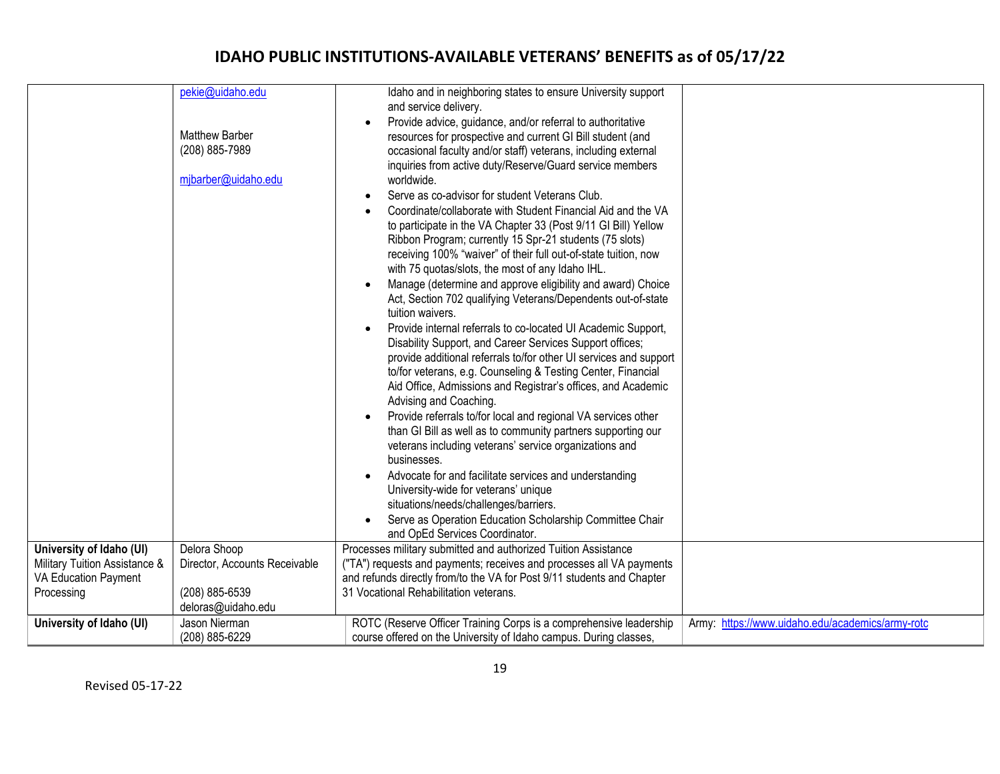|                               | pekie@uidaho.edu<br><b>Matthew Barber</b><br>(208) 885-7989<br>mjbarber@uidaho.edu | Idaho and in neighboring states to ensure University support<br>and service delivery.<br>Provide advice, guidance, and/or referral to authoritative<br>resources for prospective and current GI Bill student (and<br>occasional faculty and/or staff) veterans, including external<br>inquiries from active duty/Reserve/Guard service members<br>worldwide.<br>Serve as co-advisor for student Veterans Club.<br>Coordinate/collaborate with Student Financial Aid and the VA<br>to participate in the VA Chapter 33 (Post 9/11 GI Bill) Yellow<br>Ribbon Program; currently 15 Spr-21 students (75 slots)<br>receiving 100% "waiver" of their full out-of-state tuition, now<br>with 75 quotas/slots, the most of any Idaho IHL.<br>Manage (determine and approve eligibility and award) Choice<br>$\bullet$<br>Act, Section 702 qualifying Veterans/Dependents out-of-state<br>tuition waivers.<br>Provide internal referrals to co-located UI Academic Support,<br>$\bullet$<br>Disability Support, and Career Services Support offices;<br>provide additional referrals to/for other UI services and support<br>to/for veterans, e.g. Counseling & Testing Center, Financial<br>Aid Office, Admissions and Registrar's offices, and Academic<br>Advising and Coaching.<br>Provide referrals to/for local and regional VA services other<br>$\bullet$<br>than GI Bill as well as to community partners supporting our<br>veterans including veterans' service organizations and<br>businesses.<br>Advocate for and facilitate services and understanding<br>$\bullet$<br>University-wide for veterans' unique<br>situations/needs/challenges/barriers.<br>Serve as Operation Education Scholarship Committee Chair<br>and OpEd Services Coordinator. |                                                  |
|-------------------------------|------------------------------------------------------------------------------------|----------------------------------------------------------------------------------------------------------------------------------------------------------------------------------------------------------------------------------------------------------------------------------------------------------------------------------------------------------------------------------------------------------------------------------------------------------------------------------------------------------------------------------------------------------------------------------------------------------------------------------------------------------------------------------------------------------------------------------------------------------------------------------------------------------------------------------------------------------------------------------------------------------------------------------------------------------------------------------------------------------------------------------------------------------------------------------------------------------------------------------------------------------------------------------------------------------------------------------------------------------------------------------------------------------------------------------------------------------------------------------------------------------------------------------------------------------------------------------------------------------------------------------------------------------------------------------------------------------------------------------------------------------------------------------------------------------------------------------------------------------|--------------------------------------------------|
| University of Idaho (UI)      | Delora Shoop                                                                       | Processes military submitted and authorized Tuition Assistance                                                                                                                                                                                                                                                                                                                                                                                                                                                                                                                                                                                                                                                                                                                                                                                                                                                                                                                                                                                                                                                                                                                                                                                                                                                                                                                                                                                                                                                                                                                                                                                                                                                                                           |                                                  |
| Military Tuition Assistance & | Director, Accounts Receivable                                                      | ("TA") requests and payments; receives and processes all VA payments                                                                                                                                                                                                                                                                                                                                                                                                                                                                                                                                                                                                                                                                                                                                                                                                                                                                                                                                                                                                                                                                                                                                                                                                                                                                                                                                                                                                                                                                                                                                                                                                                                                                                     |                                                  |
| VA Education Payment          |                                                                                    | and refunds directly from/to the VA for Post 9/11 students and Chapter<br>31 Vocational Rehabilitation veterans.                                                                                                                                                                                                                                                                                                                                                                                                                                                                                                                                                                                                                                                                                                                                                                                                                                                                                                                                                                                                                                                                                                                                                                                                                                                                                                                                                                                                                                                                                                                                                                                                                                         |                                                  |
| Processing                    | (208) 885-6539<br>deloras@uidaho.edu                                               |                                                                                                                                                                                                                                                                                                                                                                                                                                                                                                                                                                                                                                                                                                                                                                                                                                                                                                                                                                                                                                                                                                                                                                                                                                                                                                                                                                                                                                                                                                                                                                                                                                                                                                                                                          |                                                  |
| University of Idaho (UI)      | Jason Nierman<br>(208) 885-6229                                                    | ROTC (Reserve Officer Training Corps is a comprehensive leadership<br>course offered on the University of Idaho campus. During classes,                                                                                                                                                                                                                                                                                                                                                                                                                                                                                                                                                                                                                                                                                                                                                                                                                                                                                                                                                                                                                                                                                                                                                                                                                                                                                                                                                                                                                                                                                                                                                                                                                  | Army: https://www.uidaho.edu/academics/army-rotc |